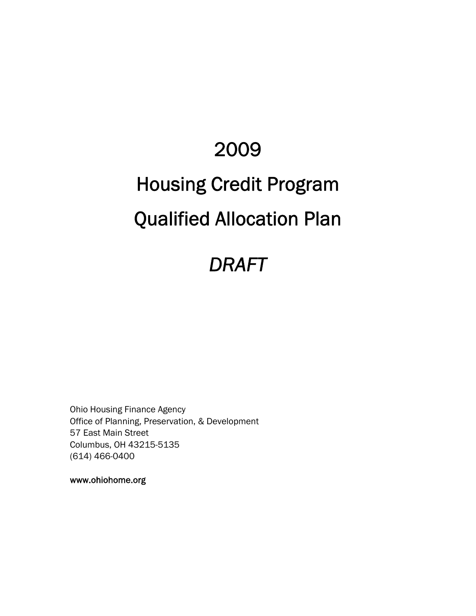# 2009 Housing Credit Program Qualified Allocation Plan

# *DRAFT*

Ohio Housing Finance Agency Office of Planning, Preservation, & Development 57 East Main Street Columbus, OH 43215-5135 (614) 466-0400

www.ohiohome.org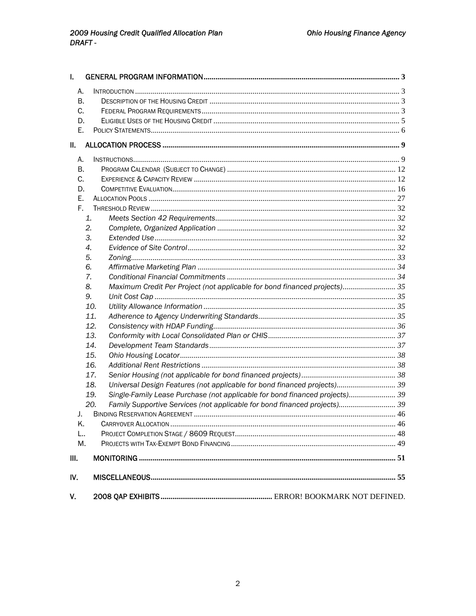| I.   |                                                                                    |  |
|------|------------------------------------------------------------------------------------|--|
| А.   |                                                                                    |  |
| В.   |                                                                                    |  |
| C.   |                                                                                    |  |
| D.   |                                                                                    |  |
| Е.   |                                                                                    |  |
| Ш.   |                                                                                    |  |
| А.   |                                                                                    |  |
| В.   |                                                                                    |  |
| C.   |                                                                                    |  |
| D.   |                                                                                    |  |
| Е.   |                                                                                    |  |
| Е.   |                                                                                    |  |
|      | 1.                                                                                 |  |
|      | 2.                                                                                 |  |
|      | 3.                                                                                 |  |
|      | 4.                                                                                 |  |
|      | 5.                                                                                 |  |
|      | 6.                                                                                 |  |
|      | 7.                                                                                 |  |
|      | Maximum Credit Per Project (not applicable for bond financed projects) 35<br>8.    |  |
|      | 9.                                                                                 |  |
|      | 10.                                                                                |  |
|      | 11.                                                                                |  |
|      | 12.                                                                                |  |
|      | 13.                                                                                |  |
|      | 14.                                                                                |  |
|      | 15.                                                                                |  |
|      | 16.                                                                                |  |
|      | 17.                                                                                |  |
|      | Universal Design Features (not applicable for bond financed projects) 39<br>18.    |  |
|      | Single-Family Lease Purchase (not applicable for bond financed projects) 39<br>19. |  |
|      | Family Supportive Services (not applicable for bond financed projects) 39<br>20.   |  |
| J.   |                                                                                    |  |
| K.   |                                                                                    |  |
| L    |                                                                                    |  |
| Μ.   |                                                                                    |  |
| III. |                                                                                    |  |
| IV.  |                                                                                    |  |
| V.   |                                                                                    |  |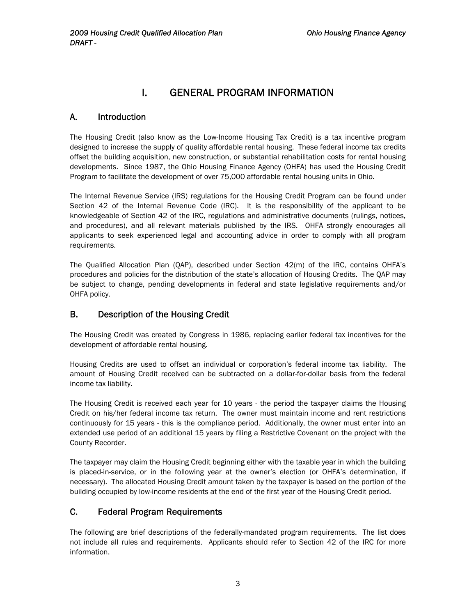# I. GENERAL PROGRAM INFORMATION

# <span id="page-2-0"></span>A. Introduction

The Housing Credit (also know as the Low-Income Housing Tax Credit) is a tax incentive program designed to increase the supply of quality affordable rental housing. These federal income tax credits offset the building acquisition, new construction, or substantial rehabilitation costs for rental housing developments. Since 1987, the Ohio Housing Finance Agency (OHFA) has used the Housing Credit Program to facilitate the development of over 75,000 affordable rental housing units in Ohio.

The Internal Revenue Service (IRS) regulations for the Housing Credit Program can be found under Section 42 of the Internal Revenue Code (IRC). It is the responsibility of the applicant to be knowledgeable of Section 42 of the IRC, regulations and administrative documents (rulings, notices, and procedures), and all relevant materials published by the IRS. OHFA strongly encourages all applicants to seek experienced legal and accounting advice in order to comply with all program requirements.

The Qualified Allocation Plan (QAP), described under Section 42(m) of the IRC, contains OHFA's procedures and policies for the distribution of the state's allocation of Housing Credits. The QAP may be subject to change, pending developments in federal and state legislative requirements and/or OHFA policy.

# B. Description of the Housing Credit

The Housing Credit was created by Congress in 1986, replacing earlier federal tax incentives for the development of affordable rental housing.

Housing Credits are used to offset an individual or corporation's federal income tax liability. The amount of Housing Credit received can be subtracted on a dollar-for-dollar basis from the federal income tax liability.

The Housing Credit is received each year for 10 years - the period the taxpayer claims the Housing Credit on his/her federal income tax return. The owner must maintain income and rent restrictions continuously for 15 years - this is the compliance period. Additionally, the owner must enter into an extended use period of an additional 15 years by filing a Restrictive Covenant on the project with the County Recorder.

The taxpayer may claim the Housing Credit beginning either with the taxable year in which the building is placed-in-service, or in the following year at the owner's election (or OHFA's determination, if necessary). The allocated Housing Credit amount taken by the taxpayer is based on the portion of the building occupied by low-income residents at the end of the first year of the Housing Credit period.

# C. Federal Program Requirements

The following are brief descriptions of the federally-mandated program requirements. The list does not include all rules and requirements. Applicants should refer to Section 42 of the IRC for more information.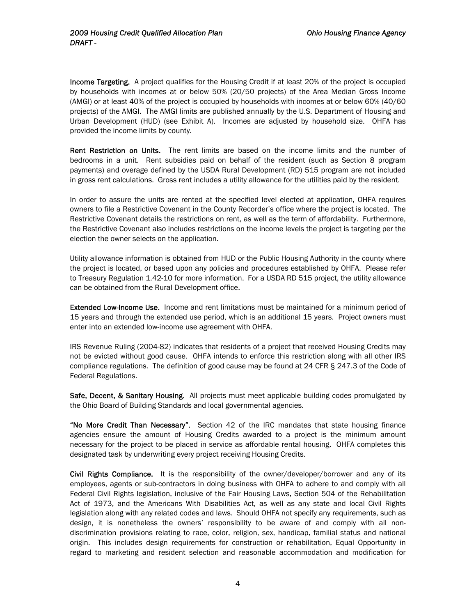**Income Targeting.** A project qualifies for the Housing Credit if at least 20% of the project is occupied by households with incomes at or below 50% (20/50 projects) of the Area Median Gross Income (AMGI) or at least 40% of the project is occupied by households with incomes at or below 60% (40/60 projects) of the AMGI. The AMGI limits are published annually by the U.S. Department of Housing and Urban Development (HUD) (see Exhibit A). Incomes are adjusted by household size. OHFA has provided the income limits by county.

Rent Restriction on Units. The rent limits are based on the income limits and the number of bedrooms in a unit. Rent subsidies paid on behalf of the resident (such as Section 8 program payments) and overage defined by the USDA Rural Development (RD) 515 program are not included in gross rent calculations. Gross rent includes a utility allowance for the utilities paid by the resident.

In order to assure the units are rented at the specified level elected at application, OHFA requires owners to file a Restrictive Covenant in the County Recorder's office where the project is located. The Restrictive Covenant details the restrictions on rent, as well as the term of affordability. Furthermore, the Restrictive Covenant also includes restrictions on the income levels the project is targeting per the election the owner selects on the application.

Utility allowance information is obtained from HUD or the Public Housing Authority in the county where the project is located, or based upon any policies and procedures established by OHFA. Please refer to Treasury Regulation 1.42-10 for more information. For a USDA RD 515 project, the utility allowance can be obtained from the Rural Development office.

Extended Low-Income Use. Income and rent limitations must be maintained for a minimum period of 15 years and through the extended use period, which is an additional 15 years. Project owners must enter into an extended low-income use agreement with OHFA.

IRS Revenue Ruling (2004-82) indicates that residents of a project that received Housing Credits may not be evicted without good cause. OHFA intends to enforce this restriction along with all other IRS compliance regulations. The definition of good cause may be found at 24 CFR § 247.3 of the Code of Federal Regulations.

Safe, Decent, & Sanitary Housing. All projects must meet applicable building codes promulgated by the Ohio Board of Building Standards and local governmental agencies.

"No More Credit Than Necessary". Section 42 of the IRC mandates that state housing finance agencies ensure the amount of Housing Credits awarded to a project is the minimum amount necessary for the project to be placed in service as affordable rental housing. OHFA completes this designated task by underwriting every project receiving Housing Credits.

Civil Rights Compliance. It is the responsibility of the owner/developer/borrower and any of its employees, agents or sub-contractors in doing business with OHFA to adhere to and comply with all Federal Civil Rights legislation, inclusive of the Fair Housing Laws, Section 504 of the Rehabilitation Act of 1973, and the Americans With Disabilities Act, as well as any state and local Civil Rights legislation along with any related codes and laws. Should OHFA not specify any requirements, such as design, it is nonetheless the owners' responsibility to be aware of and comply with all nondiscrimination provisions relating to race, color, religion, sex, handicap, familial status and national origin. This includes design requirements for construction or rehabilitation, Equal Opportunity in regard to marketing and resident selection and reasonable accommodation and modification for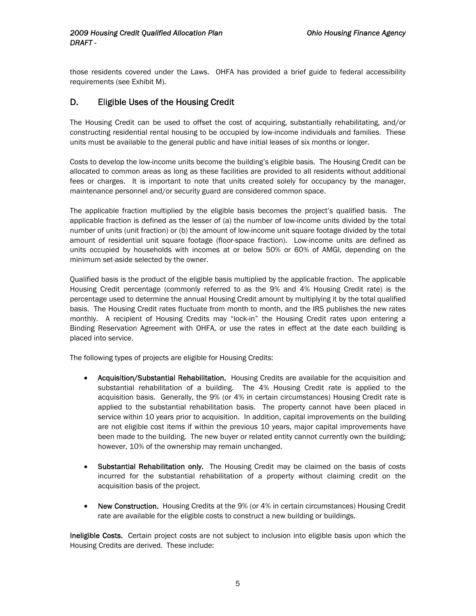<span id="page-4-0"></span>those residents covered under the Laws. OHFA has provided a brief guide to federal accessibility requirements (see Exhibit M).

# D. Eligible Uses of the Housing Credit

The Housing Credit can be used to offset the cost of acquiring, substantially rehabilitating, and/or constructing residential rental housing to be occupied by low-income individuals and families. These units must be available to the general public and have initial leases of six months or longer.

Costs to develop the low-income units become the building's eligible basis. The Housing Credit can be allocated to common areas as long as these facilities are provided to all residents without additional fees or charges. It is important to note that units created solely for occupancy by the manager, maintenance personnel and/or security guard are considered common space.

The applicable fraction multiplied by the eligible basis becomes the project's qualified basis. The applicable fraction is defined as the lesser of (a) the number of low-income units divided by the total number of units (unit fraction) or (b) the amount of low-income unit square footage divided by the total amount of residential unit square footage (floor-space fraction). Low-income units are defined as units occupied by households with incomes at or below 50% or 60% of AMGI, depending on the minimum set-aside selected by the owner.

Qualified basis is the product of the eligible basis multiplied by the applicable fraction. The applicable Housing Credit percentage (commonly referred to as the 9% and 4% Housing Credit rate) is the percentage used to determine the annual Housing Credit amount by multiplying it by the total qualified basis. The Housing Credit rates fluctuate from month to month, and the IRS publishes the new rates monthly. A recipient of Housing Credits may "lock-in" the Housing Credit rates upon entering a Binding Reservation Agreement with OHFA, or use the rates in effect at the date each building is placed into service.

The following types of projects are eligible for Housing Credits:

- Acquisition/Substantial Rehabilitation. Housing Credits are available for the acquisition and substantial rehabilitation of a building. The 4% Housing Credit rate is applied to the acquisition basis. Generally, the 9% (or 4% in certain circumstances) Housing Credit rate is applied to the substantial rehabilitation basis. The property cannot have been placed in service within 10 years prior to acquisition. In addition, capital improvements on the building are not eligible cost items if within the previous 10 years, major capital improvements have been made to the building. The new buyer or related entity cannot currently own the building; however, 10% of the ownership may remain unchanged.
- Substantial Rehabilitation only. The Housing Credit may be claimed on the basis of costs incurred for the substantial rehabilitation of a property without claiming credit on the acquisition basis of the project.
- New Construction. Housing Credits at the 9% (or 4% in certain circumstances) Housing Credit rate are available for the eligible costs to construct a new building or buildings.

Ineligible Costs. Certain project costs are not subject to inclusion into eligible basis upon which the Housing Credits are derived. These include: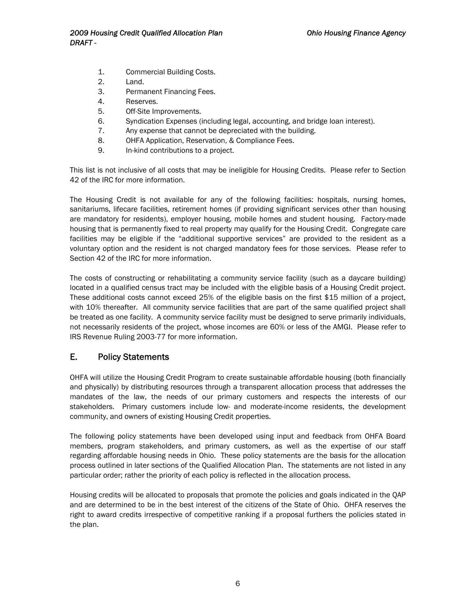- <span id="page-5-0"></span>1. Commercial Building Costs.
- 2. Land.
- 3. Permanent Financing Fees.
- 4. Reserves.
- 5. Off-Site Improvements.
- 6. Syndication Expenses (including legal, accounting, and bridge loan interest).
- 7. Any expense that cannot be depreciated with the building.
- 8. OHFA Application, Reservation, & Compliance Fees.
- 9. In-kind contributions to a project.

This list is not inclusive of all costs that may be ineligible for Housing Credits. Please refer to Section 42 of the IRC for more information.

The Housing Credit is not available for any of the following facilities: hospitals, nursing homes, sanitariums, lifecare facilities, retirement homes (if providing significant services other than housing are mandatory for residents), employer housing, mobile homes and student housing. Factory-made housing that is permanently fixed to real property may qualify for the Housing Credit. Congregate care facilities may be eligible if the "additional supportive services" are provided to the resident as a voluntary option and the resident is not charged mandatory fees for those services. Please refer to Section 42 of the IRC for more information.

The costs of constructing or rehabilitating a community service facility (such as a daycare building) located in a qualified census tract may be included with the eligible basis of a Housing Credit project. These additional costs cannot exceed 25% of the eligible basis on the first \$15 million of a project, with 10% thereafter. All community service facilities that are part of the same qualified project shall be treated as one facility. A community service facility must be designed to serve primarily individuals, not necessarily residents of the project, whose incomes are 60% or less of the AMGI. Please refer to IRS Revenue Ruling 2003-77 for more information.

### E. Policy Statements

OHFA will utilize the Housing Credit Program to create sustainable affordable housing (both financially and physically) by distributing resources through a transparent allocation process that addresses the mandates of the law, the needs of our primary customers and respects the interests of our stakeholders. Primary customers include low- and moderate-income residents, the development community, and owners of existing Housing Credit properties.

The following policy statements have been developed using input and feedback from OHFA Board members, program stakeholders, and primary customers, as well as the expertise of our staff regarding affordable housing needs in Ohio. These policy statements are the basis for the allocation process outlined in later sections of the Qualified Allocation Plan. The statements are not listed in any particular order; rather the priority of each policy is reflected in the allocation process.

Housing credits will be allocated to proposals that promote the policies and goals indicated in the QAP and are determined to be in the best interest of the citizens of the State of Ohio. OHFA reserves the right to award credits irrespective of competitive ranking if a proposal furthers the policies stated in the plan.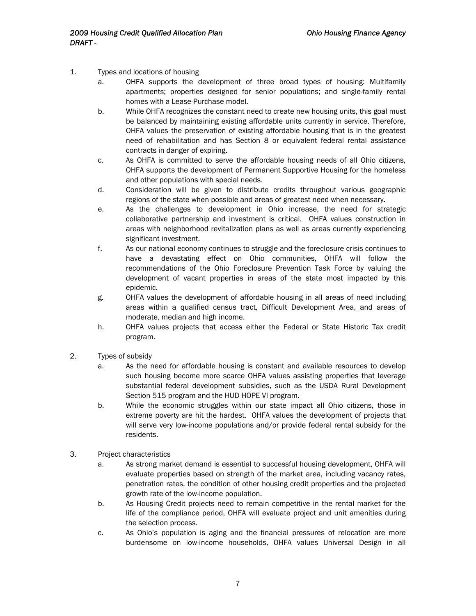- 1. Types and locations of housing
	- a. OHFA supports the development of three broad types of housing: Multifamily apartments; properties designed for senior populations; and single-family rental homes with a Lease-Purchase model.
	- b. While OHFA recognizes the constant need to create new housing units, this goal must be balanced by maintaining existing affordable units currently in service. Therefore, OHFA values the preservation of existing affordable housing that is in the greatest need of rehabilitation and has Section 8 or equivalent federal rental assistance contracts in danger of expiring.
	- c. As OHFA is committed to serve the affordable housing needs of all Ohio citizens, OHFA supports the development of Permanent Supportive Housing for the homeless and other populations with special needs.
	- d. Consideration will be given to distribute credits throughout various geographic regions of the state when possible and areas of greatest need when necessary.
	- e. As the challenges to development in Ohio increase, the need for strategic collaborative partnership and investment is critical. OHFA values construction in areas with neighborhood revitalization plans as well as areas currently experiencing significant investment.
	- f. As our national economy continues to struggle and the foreclosure crisis continues to have a devastating effect on Ohio communities, OHFA will follow the recommendations of the Ohio Foreclosure Prevention Task Force by valuing the development of vacant properties in areas of the state most impacted by this epidemic.
	- g. OHFA values the development of affordable housing in all areas of need including areas within a qualified census tract, Difficult Development Area, and areas of moderate, median and high income.
	- h. OHFA values projects that access either the Federal or State Historic Tax credit program.
- 2. Types of subsidy
	- a. As the need for affordable housing is constant and available resources to develop such housing become more scarce OHFA values assisting properties that leverage substantial federal development subsidies, such as the USDA Rural Development Section 515 program and the HUD HOPE VI program.
	- b. While the economic struggles within our state impact all Ohio citizens, those in extreme poverty are hit the hardest. OHFA values the development of projects that will serve very low-income populations and/or provide federal rental subsidy for the residents.
- 3. Project characteristics
	- a. As strong market demand is essential to successful housing development, OHFA will evaluate properties based on strength of the market area, including vacancy rates, penetration rates, the condition of other housing credit properties and the projected growth rate of the low-income population.
	- b. As Housing Credit projects need to remain competitive in the rental market for the life of the compliance period, OHFA will evaluate project and unit amenities during the selection process.
	- c. As Ohio's population is aging and the financial pressures of relocation are more burdensome on low-income households, OHFA values Universal Design in all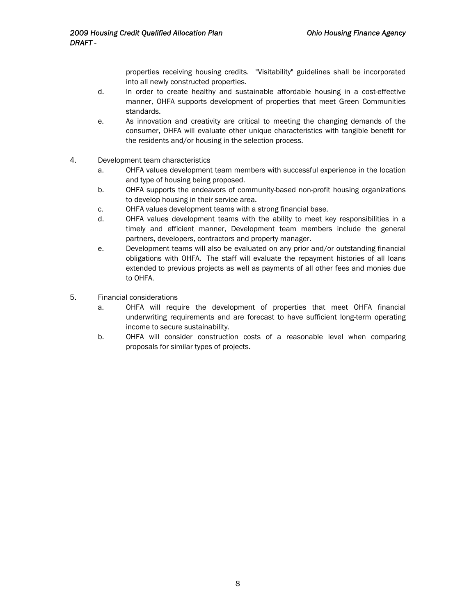properties receiving housing credits. "Visitability" guidelines shall be incorporated into all newly constructed properties.

- d. In order to create healthy and sustainable affordable housing in a cost-effective manner, OHFA supports development of properties that meet Green Communities standards.
- e. As innovation and creativity are critical to meeting the changing demands of the consumer, OHFA will evaluate other unique characteristics with tangible benefit for the residents and/or housing in the selection process.
- 4. Development team characteristics
	- a. OHFA values development team members with successful experience in the location and type of housing being proposed.
	- b. OHFA supports the endeavors of community-based non-profit housing organizations to develop housing in their service area.
	- c. OHFA values development teams with a strong financial base.
	- d. OHFA values development teams with the ability to meet key responsibilities in a timely and efficient manner, Development team members include the general partners, developers, contractors and property manager.
	- e. Development teams will also be evaluated on any prior and/or outstanding financial obligations with OHFA. The staff will evaluate the repayment histories of all loans extended to previous projects as well as payments of all other fees and monies due to OHFA.
- 5. Financial considerations
	- a. OHFA will require the development of properties that meet OHFA financial underwriting requirements and are forecast to have sufficient long-term operating income to secure sustainability.
	- b. OHFA will consider construction costs of a reasonable level when comparing proposals for similar types of projects.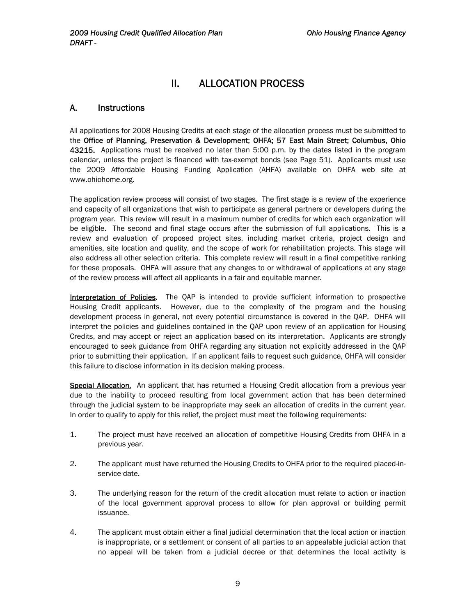# II. ALLOCATION PROCESS

# <span id="page-8-0"></span>A. Instructions

All applications for 2008 Housing Credits at each stage of the allocation process must be submitted to the Office of Planning, Preservation & Development; OHFA; 57 East Main Street; Columbus, Ohio 43215. Applications must be received no later than 5:00 p.m. by the dates listed in the program calendar, unless the project is financed with tax-exempt bonds (see Page 51). Applicants must use the 2009 Affordable Housing Funding Application (AHFA) available on OHFA web site at www.ohiohome.org.

The application review process will consist of two stages. The first stage is a review of the experience and capacity of all organizations that wish to participate as general partners or developers during the program year. This review will result in a maximum number of credits for which each organization will be eligible. The second and final stage occurs after the submission of full applications. This is a review and evaluation of proposed project sites, including market criteria, project design and amenities, site location and quality, and the scope of work for rehabilitation projects. This stage will also address all other selection criteria. This complete review will result in a final competitive ranking for these proposals. OHFA will assure that any changes to or withdrawal of applications at any stage of the review process will affect all applicants in a fair and equitable manner.

Interpretation of Policies. The QAP is intended to provide sufficient information to prospective Housing Credit applicants. However, due to the complexity of the program and the housing development process in general, not every potential circumstance is covered in the QAP. OHFA will interpret the policies and guidelines contained in the QAP upon review of an application for Housing Credits, and may accept or reject an application based on its interpretation. Applicants are strongly encouraged to seek guidance from OHFA regarding any situation not explicitly addressed in the QAP prior to submitting their application. If an applicant fails to request such guidance, OHFA will consider this failure to disclose information in its decision making process.

Special Allocation. An applicant that has returned a Housing Credit allocation from a previous year due to the inability to proceed resulting from local government action that has been determined through the judicial system to be inappropriate may seek an allocation of credits in the current year. In order to qualify to apply for this relief, the project must meet the following requirements:

- 1. The project must have received an allocation of competitive Housing Credits from OHFA in a previous year.
- 2. The applicant must have returned the Housing Credits to OHFA prior to the required placed-inservice date.
- 3. The underlying reason for the return of the credit allocation must relate to action or inaction of the local government approval process to allow for plan approval or building permit issuance.
- 4. The applicant must obtain either a final judicial determination that the local action or inaction is inappropriate, or a settlement or consent of all parties to an appealable judicial action that no appeal will be taken from a judicial decree or that determines the local activity is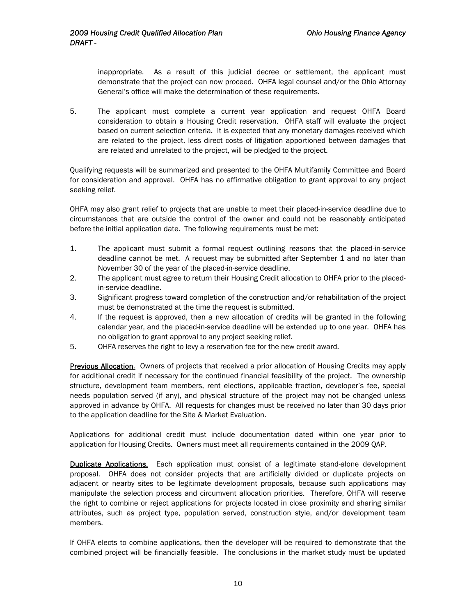inappropriate. As a result of this judicial decree or settlement, the applicant must demonstrate that the project can now proceed. OHFA legal counsel and/or the Ohio Attorney General's office will make the determination of these requirements.

5. The applicant must complete a current year application and request OHFA Board consideration to obtain a Housing Credit reservation. OHFA staff will evaluate the project based on current selection criteria. It is expected that any monetary damages received which are related to the project, less direct costs of litigation apportioned between damages that are related and unrelated to the project, will be pledged to the project.

Qualifying requests will be summarized and presented to the OHFA Multifamily Committee and Board for consideration and approval. OHFA has no affirmative obligation to grant approval to any project seeking relief.

OHFA may also grant relief to projects that are unable to meet their placed-in-service deadline due to circumstances that are outside the control of the owner and could not be reasonably anticipated before the initial application date. The following requirements must be met:

- 1. The applicant must submit a formal request outlining reasons that the placed-in-service deadline cannot be met. A request may be submitted after September 1 and no later than November 30 of the year of the placed-in-service deadline.
- 2. The applicant must agree to return their Housing Credit allocation to OHFA prior to the placedin-service deadline.
- 3. Significant progress toward completion of the construction and/or rehabilitation of the project must be demonstrated at the time the request is submitted.
- 4. If the request is approved, then a new allocation of credits will be granted in the following calendar year, and the placed-in-service deadline will be extended up to one year. OHFA has no obligation to grant approval to any project seeking relief.
- 5. OHFA reserves the right to levy a reservation fee for the new credit award.

**Previous Allocation.** Owners of projects that received a prior allocation of Housing Credits may apply for additional credit if necessary for the continued financial feasibility of the project. The ownership structure, development team members, rent elections, applicable fraction, developer's fee, special needs population served (if any), and physical structure of the project may not be changed unless approved in advance by OHFA. All requests for changes must be received no later than 30 days prior to the application deadline for the Site & Market Evaluation.

Applications for additional credit must include documentation dated within one year prior to application for Housing Credits. Owners must meet all requirements contained in the 2009 QAP.

Duplicate Applications. Each application must consist of a legitimate stand-alone development proposal. OHFA does not consider projects that are artificially divided or duplicate projects on adjacent or nearby sites to be legitimate development proposals, because such applications may manipulate the selection process and circumvent allocation priorities. Therefore, OHFA will reserve the right to combine or reject applications for projects located in close proximity and sharing similar attributes, such as project type, population served, construction style, and/or development team members.

If OHFA elects to combine applications, then the developer will be required to demonstrate that the combined project will be financially feasible. The conclusions in the market study must be updated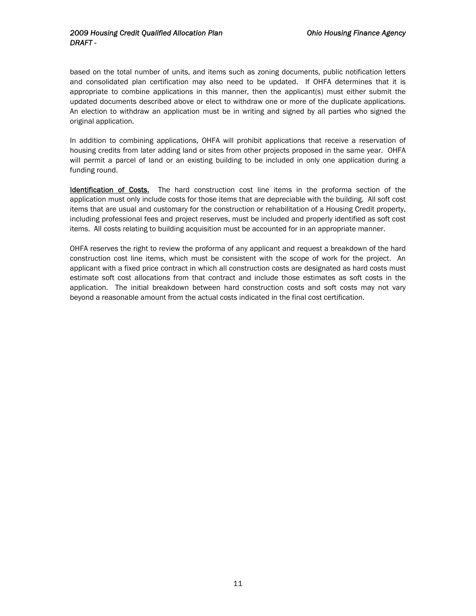based on the total number of units, and items such as zoning documents, public notification letters and consolidated plan certification may also need to be updated. If OHFA determines that it is appropriate to combine applications in this manner, then the applicant(s) must either submit the updated documents described above or elect to withdraw one or more of the duplicate applications. An election to withdraw an application must be in writing and signed by all parties who signed the original application.

In addition to combining applications, OHFA will prohibit applications that receive a reservation of housing credits from later adding land or sites from other projects proposed in the same year. OHFA will permit a parcel of land or an existing building to be included in only one application during a funding round.

Identification of Costs. The hard construction cost line items in the proforma section of the application must only include costs for those items that are depreciable with the building. All soft cost items that are usual and customary for the construction or rehabilitation of a Housing Credit property, including professional fees and project reserves, must be included and properly identified as soft cost items. All costs relating to building acquisition must be accounted for in an appropriate manner.

OHFA reserves the right to review the proforma of any applicant and request a breakdown of the hard construction cost line items, which must be consistent with the scope of work for the project. An applicant with a fixed price contract in which all construction costs are designated as hard costs must estimate soft cost allocations from that contract and include those estimates as soft costs in the application. The initial breakdown between hard construction costs and soft costs may not vary beyond a reasonable amount from the actual costs indicated in the final cost certification.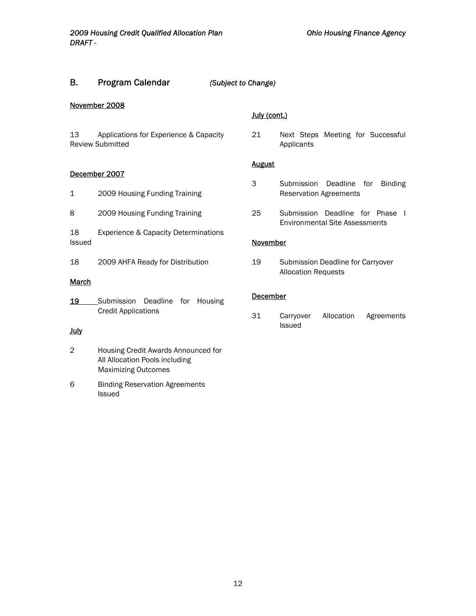# <span id="page-11-0"></span>B. Program Calendar *(Subject to Change)*

#### November 2008

13 Applications for Experience & Capacity Review Submitted

#### December 2007

- 1 2009 Housing Funding Training
- 8 2009 Housing Funding Training
- 18 Experience & Capacity Determinations Issued
- 18 2009 AHFA Ready for Distribution

#### **March**

19 Submission Deadline for Housing Credit Applications

#### July

- 2 Housing Credit Awards Announced for All Allocation Pools including Maximizing Outcomes
- 6 Binding Reservation Agreements Issued

#### July (cont.)

21 Next Steps Meeting for Successful Applicants

#### **August**

- 3 Submission Deadline for Binding Reservation Agreements
- 25 Submission Deadline for Phase I Environmental Site Assessments

#### November

19 Submission Deadline for Carryover Allocation Requests

#### December

31 Carryover Allocation Agreements Issued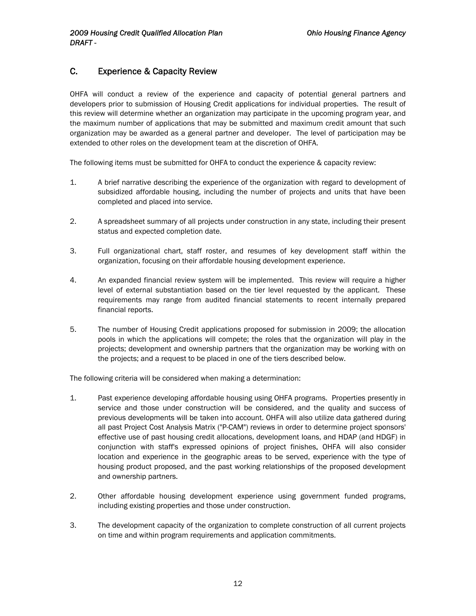# <span id="page-12-0"></span>C. Experience & Capacity Review

OHFA will conduct a review of the experience and capacity of potential general partners and developers prior to submission of Housing Credit applications for individual properties. The result of this review will determine whether an organization may participate in the upcoming program year, and the maximum number of applications that may be submitted and maximum credit amount that such organization may be awarded as a general partner and developer. The level of participation may be extended to other roles on the development team at the discretion of OHFA.

The following items must be submitted for OHFA to conduct the experience & capacity review:

- 1. A brief narrative describing the experience of the organization with regard to development of subsidized affordable housing, including the number of projects and units that have been completed and placed into service.
- 2. A spreadsheet summary of all projects under construction in any state, including their present status and expected completion date.
- 3. Full organizational chart, staff roster, and resumes of key development staff within the organization, focusing on their affordable housing development experience.
- 4. An expanded financial review system will be implemented. This review will require a higher level of external substantiation based on the tier level requested by the applicant. These requirements may range from audited financial statements to recent internally prepared financial reports.
- 5. The number of Housing Credit applications proposed for submission in 2009; the allocation pools in which the applications will compete; the roles that the organization will play in the projects; development and ownership partners that the organization may be working with on the projects; and a request to be placed in one of the tiers described below.

The following criteria will be considered when making a determination:

- 1. Past experience developing affordable housing using OHFA programs. Properties presently in service and those under construction will be considered, and the quality and success of previous developments will be taken into account. OHFA will also utilize data gathered during all past Project Cost Analysis Matrix ("P-CAM") reviews in order to determine project sponsors' effective use of past housing credit allocations, development loans, and HDAP (and HDGF) in conjunction with staff's expressed opinions of project finishes. OHFA will also consider location and experience in the geographic areas to be served, experience with the type of housing product proposed, and the past working relationships of the proposed development and ownership partners.
- 2. Other affordable housing development experience using government funded programs, including existing properties and those under construction.
- 3. The development capacity of the organization to complete construction of all current projects on time and within program requirements and application commitments.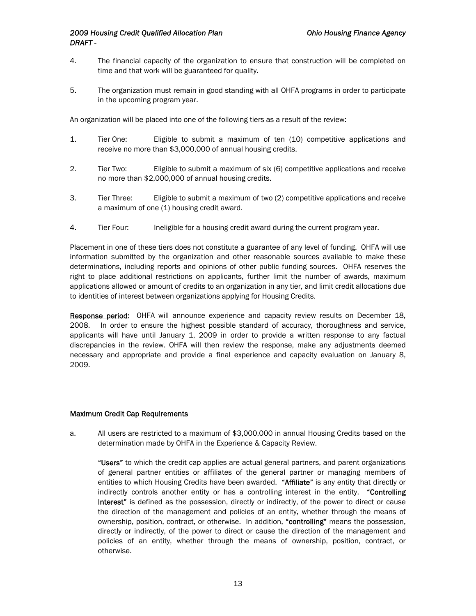- 4. The financial capacity of the organization to ensure that construction will be completed on time and that work will be guaranteed for quality.
- 5. The organization must remain in good standing with all OHFA programs in order to participate in the upcoming program year.

An organization will be placed into one of the following tiers as a result of the review:

- 1. Tier One: Eligible to submit a maximum of ten (10) competitive applications and receive no more than \$3,000,000 of annual housing credits.
- 2. Tier Two: Eligible to submit a maximum of six (6) competitive applications and receive no more than \$2,000,000 of annual housing credits.
- 3. Tier Three: Eligible to submit a maximum of two (2) competitive applications and receive a maximum of one (1) housing credit award.
- 4. Tier Four: Ineligible for a housing credit award during the current program year.

Placement in one of these tiers does not constitute a guarantee of any level of funding. OHFA will use information submitted by the organization and other reasonable sources available to make these determinations, including reports and opinions of other public funding sources. OHFA reserves the right to place additional restrictions on applicants, further limit the number of awards, maximum applications allowed or amount of credits to an organization in any tier, and limit credit allocations due to identities of interest between organizations applying for Housing Credits.

Response period: OHFA will announce experience and capacity review results on December 18, 2008. In order to ensure the highest possible standard of accuracy, thoroughness and service, applicants will have until January 1, 2009 in order to provide a written response to any factual discrepancies in the review. OHFA will then review the response, make any adjustments deemed necessary and appropriate and provide a final experience and capacity evaluation on January 8, 2009.

#### Maximum Credit Cap Requirements

a. All users are restricted to a maximum of \$3,000,000 in annual Housing Credits based on the determination made by OHFA in the Experience & Capacity Review.

"Users" to which the credit cap applies are actual general partners, and parent organizations of general partner entities or affiliates of the general partner or managing members of entities to which Housing Credits have been awarded. "Affiliate" is any entity that directly or indirectly controls another entity or has a controlling interest in the entity. "Controlling Interest" is defined as the possession, directly or indirectly, of the power to direct or cause the direction of the management and policies of an entity, whether through the means of ownership, position, contract, or otherwise. In addition, "controlling" means the possession, directly or indirectly, of the power to direct or cause the direction of the management and policies of an entity, whether through the means of ownership, position, contract, or otherwise.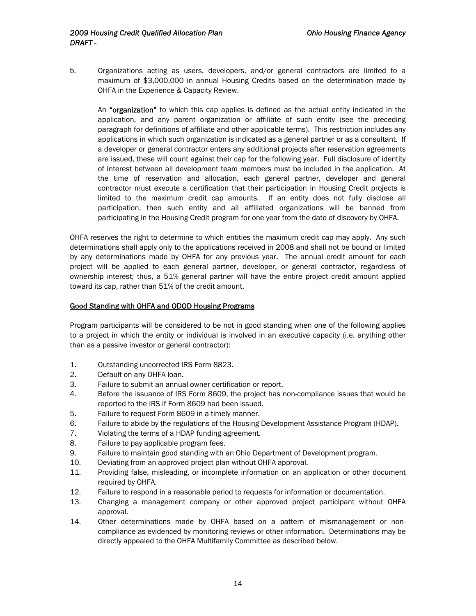b. Organizations acting as users, developers, and/or general contractors are limited to a maximum of \$3,000,000 in annual Housing Credits based on the determination made by OHFA in the Experience & Capacity Review.

An "organization" to which this cap applies is defined as the actual entity indicated in the application, and any parent organization or affiliate of such entity (see the preceding paragraph for definitions of affiliate and other applicable terms). This restriction includes any applications in which such organization is indicated as a general partner or as a consultant. If a developer or general contractor enters any additional projects after reservation agreements are issued, these will count against their cap for the following year. Full disclosure of identity of interest between all development team members must be included in the application. At the time of reservation and allocation, each general partner, developer and general contractor must execute a certification that their participation in Housing Credit projects is limited to the maximum credit cap amounts. If an entity does not fully disclose all participation, then such entity and all affiliated organizations will be banned from participating in the Housing Credit program for one year from the date of discovery by OHFA.

OHFA reserves the right to determine to which entities the maximum credit cap may apply. Any such determinations shall apply only to the applications received in 2008 and shall not be bound or limited by any determinations made by OHFA for any previous year. The annual credit amount for each project will be applied to each general partner, developer, or general contractor, regardless of ownership interest; thus, a 51% general partner will have the entire project credit amount applied toward its cap, rather than 51% of the credit amount.

#### Good Standing with OHFA and ODOD Housing Programs

Program participants will be considered to be not in good standing when one of the following applies to a project in which the entity or individual is involved in an executive capacity (i.e. anything other than as a passive investor or general contractor):

- 1. Outstanding uncorrected IRS Form 8823.
- 2. Default on any OHFA loan.
- 3. Failure to submit an annual owner certification or report.
- 4. Before the issuance of IRS Form 8609, the project has non-compliance issues that would be reported to the IRS if Form 8609 had been issued.
- 5. Failure to request Form 8609 in a timely manner.
- 6. Failure to abide by the regulations of the Housing Development Assistance Program (HDAP).
- 7. Violating the terms of a HDAP funding agreement.
- 8. Failure to pay applicable program fees.
- 9. Failure to maintain good standing with an Ohio Department of Development program.
- 10. Deviating from an approved project plan without OHFA approval.
- 11. Providing false, misleading, or incomplete information on an application or other document required by OHFA.
- 12. Failure to respond in a reasonable period to requests for information or documentation.
- 13. Changing a management company or other approved project participant without OHFA approval.
- 14. Other determinations made by OHFA based on a pattern of mismanagement or noncompliance as evidenced by monitoring reviews or other information. Determinations may be directly appealed to the OHFA Multifamily Committee as described below.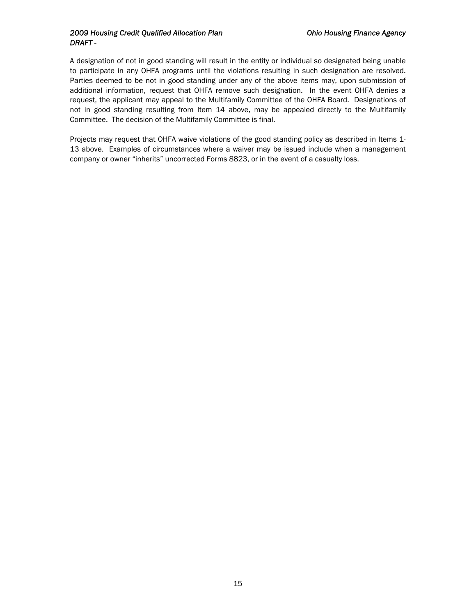#### *2009 Housing Credit Qualified Allocation Plan Ohio Housing Finance Agency DRAFT -*

A designation of not in good standing will result in the entity or individual so designated being unable to participate in any OHFA programs until the violations resulting in such designation are resolved. Parties deemed to be not in good standing under any of the above items may, upon submission of additional information, request that OHFA remove such designation. In the event OHFA denies a request, the applicant may appeal to the Multifamily Committee of the OHFA Board. Designations of not in good standing resulting from Item 14 above, may be appealed directly to the Multifamily Committee. The decision of the Multifamily Committee is final.

Projects may request that OHFA waive violations of the good standing policy as described in Items 1- 13 above. Examples of circumstances where a waiver may be issued include when a management company or owner "inherits" uncorrected Forms 8823, or in the event of a casualty loss.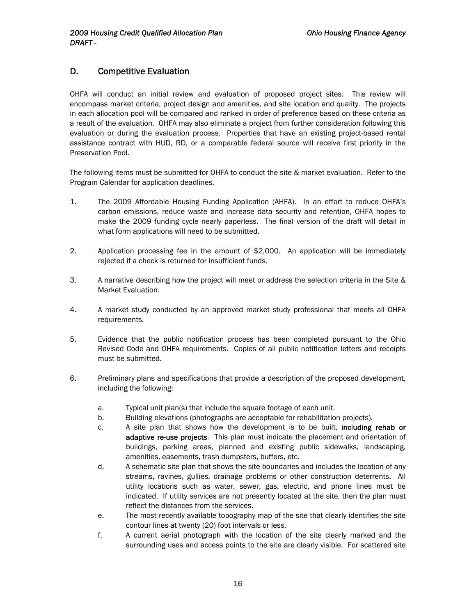# <span id="page-16-0"></span>D. Competitive Evaluation

OHFA will conduct an initial review and evaluation of proposed project sites. This review will encompass market criteria, project design and amenities, and site location and quality. The projects in each allocation pool will be compared and ranked in order of preference based on these criteria as a result of the evaluation. OHFA may also eliminate a project from further consideration following this evaluation or during the evaluation process. Properties that have an existing project-based rental assistance contract with HUD, RD, or a comparable federal source will receive first priority in the Preservation Pool.

The following items must be submitted for OHFA to conduct the site & market evaluation. Refer to the Program Calendar for application deadlines.

- 1. The 2009 Affordable Housing Funding Application (AHFA). In an effort to reduce OHFA's carbon emissions, reduce waste and increase data security and retention, OHFA hopes to make the 2009 funding cycle nearly paperless. The final version of the draft will detail in what form applications will need to be submitted.
- 2. Application processing fee in the amount of \$2,000. An application will be immediately rejected if a check is returned for insufficient funds.
- 3. A narrative describing how the project will meet or address the selection criteria in the Site & Market Evaluation.
- 4. A market study conducted by an approved market study professional that meets all OHFA requirements.
- 5. Evidence that the public notification process has been completed pursuant to the Ohio Revised Code and OHFA requirements. Copies of all public notification letters and receipts must be submitted.
- 6. Preliminary plans and specifications that provide a description of the proposed development, including the following:
	- a. Typical unit plan(s) that include the square footage of each unit.
	- b. Building elevations (photographs are acceptable for rehabilitation projects).
	- c. A site plan that shows how the development is to be built, including rehab or adaptive re-use projects. This plan must indicate the placement and orientation of buildings, parking areas, planned and existing public sidewalks, landscaping, amenities, easements, trash dumpsters, buffers, etc.
	- d. A schematic site plan that shows the site boundaries and includes the location of any streams, ravines, gullies, drainage problems or other construction deterrents. All utility locations such as water, sewer, gas, electric, and phone lines must be indicated. If utility services are not presently located at the site, then the plan must reflect the distances from the services.
	- e. The most recently available topography map of the site that clearly identifies the site contour lines at twenty (20) foot intervals or less.
	- f. A current aerial photograph with the location of the site clearly marked and the surrounding uses and access points to the site are clearly visible. For scattered site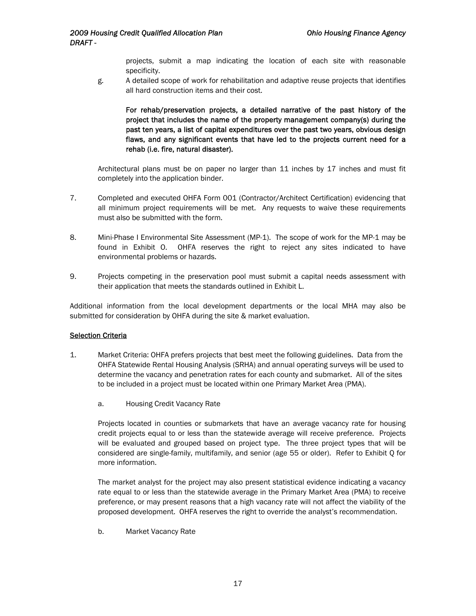projects, submit a map indicating the location of each site with reasonable specificity.

g. A detailed scope of work for rehabilitation and adaptive reuse projects that identifies all hard construction items and their cost.

For rehab/preservation projects, a detailed narrative of the past history of the project that includes the name of the property management company(s) during the past ten years, a list of capital expenditures over the past two years, obvious design flaws, and any significant events that have led to the projects current need for a rehab (i.e. fire, natural disaster).

Architectural plans must be on paper no larger than 11 inches by 17 inches and must fit completely into the application binder.

- 7. Completed and executed OHFA Form 001 (Contractor/Architect Certification) evidencing that all minimum project requirements will be met. Any requests to waive these requirements must also be submitted with the form.
- 8. Mini-Phase I Environmental Site Assessment (MP-1). The scope of work for the MP-1 may be found in Exhibit O. OHFA reserves the right to reject any sites indicated to have environmental problems or hazards.
- 9. Projects competing in the preservation pool must submit a capital needs assessment with their application that meets the standards outlined in Exhibit L.

Additional information from the local development departments or the local MHA may also be submitted for consideration by OHFA during the site & market evaluation.

#### **Selection Criteria**

- 1. Market Criteria: OHFA prefers projects that best meet the following guidelines. Data from the OHFA Statewide Rental Housing Analysis (SRHA) and annual operating surveys will be used to determine the vacancy and penetration rates for each county and submarket. All of the sites to be included in a project must be located within one Primary Market Area (PMA).
	- a. Housing Credit Vacancy Rate

Projects located in counties or submarkets that have an average vacancy rate for housing credit projects equal to or less than the statewide average will receive preference. Projects will be evaluated and grouped based on project type. The three project types that will be considered are single-family, multifamily, and senior (age 55 or older). Refer to Exhibit Q for more information.

The market analyst for the project may also present statistical evidence indicating a vacancy rate equal to or less than the statewide average in the Primary Market Area (PMA) to receive preference, or may present reasons that a high vacancy rate will not affect the viability of the proposed development. OHFA reserves the right to override the analyst's recommendation.

b. Market Vacancy Rate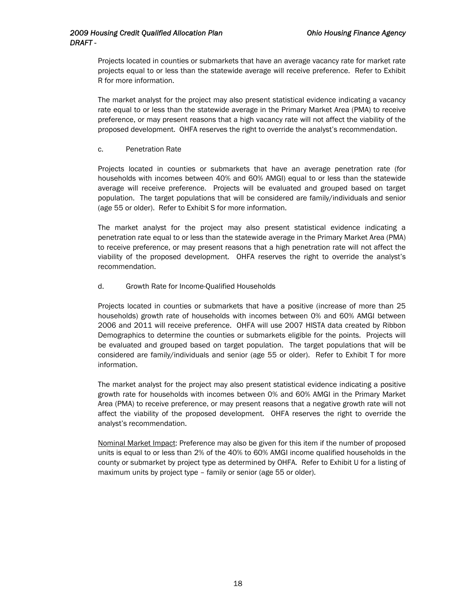Projects located in counties or submarkets that have an average vacancy rate for market rate projects equal to or less than the statewide average will receive preference. Refer to Exhibit R for more information.

The market analyst for the project may also present statistical evidence indicating a vacancy rate equal to or less than the statewide average in the Primary Market Area (PMA) to receive preference, or may present reasons that a high vacancy rate will not affect the viability of the proposed development. OHFA reserves the right to override the analyst's recommendation.

c. Penetration Rate

Projects located in counties or submarkets that have an average penetration rate (for households with incomes between 40% and 60% AMGI) equal to or less than the statewide average will receive preference. Projects will be evaluated and grouped based on target population. The target populations that will be considered are family/individuals and senior (age 55 or older). Refer to Exhibit S for more information.

The market analyst for the project may also present statistical evidence indicating a penetration rate equal to or less than the statewide average in the Primary Market Area (PMA) to receive preference, or may present reasons that a high penetration rate will not affect the viability of the proposed development. OHFA reserves the right to override the analyst's recommendation.

d. Growth Rate for Income-Qualified Households

Projects located in counties or submarkets that have a positive (increase of more than 25 households) growth rate of households with incomes between 0% and 60% AMGI between 2006 and 2011 will receive preference. OHFA will use 2007 HISTA data created by Ribbon Demographics to determine the counties or submarkets eligible for the points. Projects will be evaluated and grouped based on target population. The target populations that will be considered are family/individuals and senior (age 55 or older). Refer to Exhibit T for more information.

The market analyst for the project may also present statistical evidence indicating a positive growth rate for households with incomes between 0% and 60% AMGI in the Primary Market Area (PMA) to receive preference, or may present reasons that a negative growth rate will not affect the viability of the proposed development. OHFA reserves the right to override the analyst's recommendation.

Nominal Market Impact: Preference may also be given for this item if the number of proposed units is equal to or less than 2% of the 40% to 60% AMGI income qualified households in the county or submarket by project type as determined by OHFA. Refer to Exhibit U for a listing of maximum units by project type – family or senior (age 55 or older).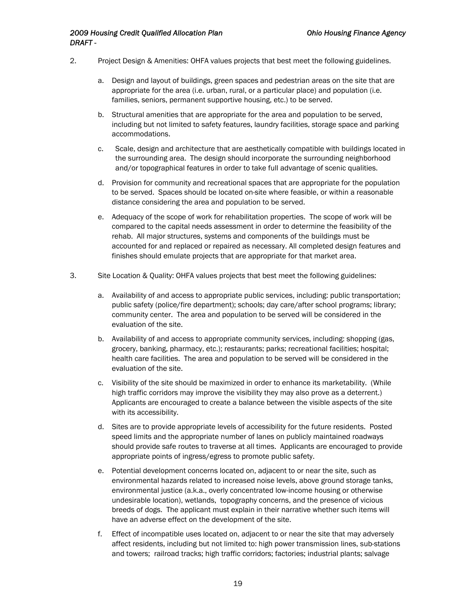- 2. Project Design & Amenities: OHFA values projects that best meet the following guidelines.
	- a. Design and layout of buildings, green spaces and pedestrian areas on the site that are appropriate for the area (i.e. urban, rural, or a particular place) and population (i.e. families, seniors, permanent supportive housing, etc.) to be served.
	- b. Structural amenities that are appropriate for the area and population to be served, including but not limited to safety features, laundry facilities, storage space and parking accommodations.
	- c. Scale, design and architecture that are aesthetically compatible with buildings located in the surrounding area. The design should incorporate the surrounding neighborhood and/or topographical features in order to take full advantage of scenic qualities.
	- d. Provision for community and recreational spaces that are appropriate for the population to be served. Spaces should be located on-site where feasible, or within a reasonable distance considering the area and population to be served.
	- e. Adequacy of the scope of work for rehabilitation properties. The scope of work will be compared to the capital needs assessment in order to determine the feasibility of the rehab. All major structures, systems and components of the buildings must be accounted for and replaced or repaired as necessary. All completed design features and finishes should emulate projects that are appropriate for that market area.
- 3. Site Location & Quality: OHFA values projects that best meet the following guidelines:
	- a. Availability of and access to appropriate public services, including: public transportation; public safety (police/fire department); schools; day care/after school programs; library; community center. The area and population to be served will be considered in the evaluation of the site.
	- b. Availability of and access to appropriate community services, including: shopping (gas, grocery, banking, pharmacy, etc.); restaurants; parks; recreational facilities; hospital; health care facilities. The area and population to be served will be considered in the evaluation of the site.
	- c. Visibility of the site should be maximized in order to enhance its marketability. (While high traffic corridors may improve the visibility they may also prove as a deterrent.) Applicants are encouraged to create a balance between the visible aspects of the site with its accessibility.
	- d. Sites are to provide appropriate levels of accessibility for the future residents. Posted speed limits and the appropriate number of lanes on publicly maintained roadways should provide safe routes to traverse at all times. Applicants are encouraged to provide appropriate points of ingress/egress to promote public safety.
	- e. Potential development concerns located on, adjacent to or near the site, such as environmental hazards related to increased noise levels, above ground storage tanks, environmental justice (a.k.a., overly concentrated low-income housing or otherwise undesirable location), wetlands, topography concerns, and the presence of vicious breeds of dogs. The applicant must explain in their narrative whether such items will have an adverse effect on the development of the site.
	- f. Effect of incompatible uses located on, adjacent to or near the site that may adversely affect residents, including but not limited to: high power transmission lines, sub-stations and towers; railroad tracks; high traffic corridors; factories; industrial plants; salvage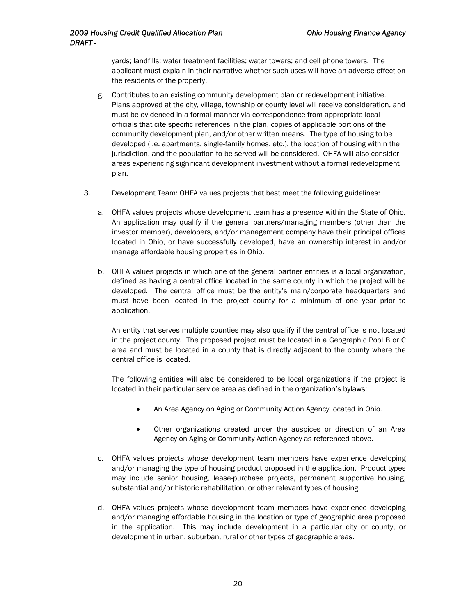yards; landfills; water treatment facilities; water towers; and cell phone towers. The applicant must explain in their narrative whether such uses will have an adverse effect on the residents of the property.

- g. Contributes to an existing community development plan or redevelopment initiative. Plans approved at the city, village, township or county level will receive consideration, and must be evidenced in a formal manner via correspondence from appropriate local officials that cite specific references in the plan, copies of applicable portions of the community development plan, and/or other written means. The type of housing to be developed (i.e. apartments, single-family homes, etc.), the location of housing within the jurisdiction, and the population to be served will be considered. OHFA will also consider areas experiencing significant development investment without a formal redevelopment plan.
- 3. Development Team: OHFA values projects that best meet the following guidelines:
	- a. OHFA values projects whose development team has a presence within the State of Ohio. An application may qualify if the general partners/managing members (other than the investor member), developers, and/or management company have their principal offices located in Ohio, or have successfully developed, have an ownership interest in and/or manage affordable housing properties in Ohio.
	- b. OHFA values projects in which one of the general partner entities is a local organization, defined as having a central office located in the same county in which the project will be developed. The central office must be the entity's main/corporate headquarters and must have been located in the project county for a minimum of one year prior to application.

An entity that serves multiple counties may also qualify if the central office is not located in the project county. The proposed project must be located in a Geographic Pool B or C area and must be located in a county that is directly adjacent to the county where the central office is located.

The following entities will also be considered to be local organizations if the project is located in their particular service area as defined in the organization's bylaws:

- An Area Agency on Aging or Community Action Agency located in Ohio.
- Other organizations created under the auspices or direction of an Area Agency on Aging or Community Action Agency as referenced above.
- c. OHFA values projects whose development team members have experience developing and/or managing the type of housing product proposed in the application. Product types may include senior housing, lease-purchase projects, permanent supportive housing, substantial and/or historic rehabilitation, or other relevant types of housing.
- d. OHFA values projects whose development team members have experience developing and/or managing affordable housing in the location or type of geographic area proposed in the application. This may include development in a particular city or county, or development in urban, suburban, rural or other types of geographic areas.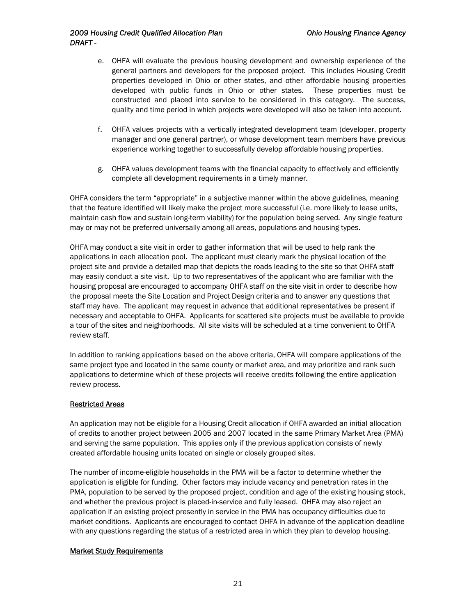#### *2009 Housing Credit Qualified Allocation Plan Ohio Housing Finance Agency DRAFT -*

- e. OHFA will evaluate the previous housing development and ownership experience of the general partners and developers for the proposed project. This includes Housing Credit properties developed in Ohio or other states, and other affordable housing properties developed with public funds in Ohio or other states. These properties must be constructed and placed into service to be considered in this category. The success, quality and time period in which projects were developed will also be taken into account.
- f. OHFA values projects with a vertically integrated development team (developer, property manager and one general partner), or whose development team members have previous experience working together to successfully develop affordable housing properties.
- g. OHFA values development teams with the financial capacity to effectively and efficiently complete all development requirements in a timely manner.

OHFA considers the term "appropriate" in a subjective manner within the above guidelines, meaning that the feature identified will likely make the project more successful (i.e. more likely to lease units, maintain cash flow and sustain long-term viability) for the population being served. Any single feature may or may not be preferred universally among all areas, populations and housing types.

OHFA may conduct a site visit in order to gather information that will be used to help rank the applications in each allocation pool. The applicant must clearly mark the physical location of the project site and provide a detailed map that depicts the roads leading to the site so that OHFA staff may easily conduct a site visit. Up to two representatives of the applicant who are familiar with the housing proposal are encouraged to accompany OHFA staff on the site visit in order to describe how the proposal meets the Site Location and Project Design criteria and to answer any questions that staff may have. The applicant may request in advance that additional representatives be present if necessary and acceptable to OHFA. Applicants for scattered site projects must be available to provide a tour of the sites and neighborhoods. All site visits will be scheduled at a time convenient to OHFA review staff.

In addition to ranking applications based on the above criteria, OHFA will compare applications of the same project type and located in the same county or market area, and may prioritize and rank such applications to determine which of these projects will receive credits following the entire application review process.

#### Restricted Areas

An application may not be eligible for a Housing Credit allocation if OHFA awarded an initial allocation of credits to another project between 2005 and 2007 located in the same Primary Market Area (PMA) and serving the same population. This applies only if the previous application consists of newly created affordable housing units located on single or closely grouped sites.

The number of income-eligible households in the PMA will be a factor to determine whether the application is eligible for funding. Other factors may include vacancy and penetration rates in the PMA, population to be served by the proposed project, condition and age of the existing housing stock, and whether the previous project is placed-in-service and fully leased. OHFA may also reject an application if an existing project presently in service in the PMA has occupancy difficulties due to market conditions. Applicants are encouraged to contact OHFA in advance of the application deadline with any questions regarding the status of a restricted area in which they plan to develop housing.

#### Market Study Requirements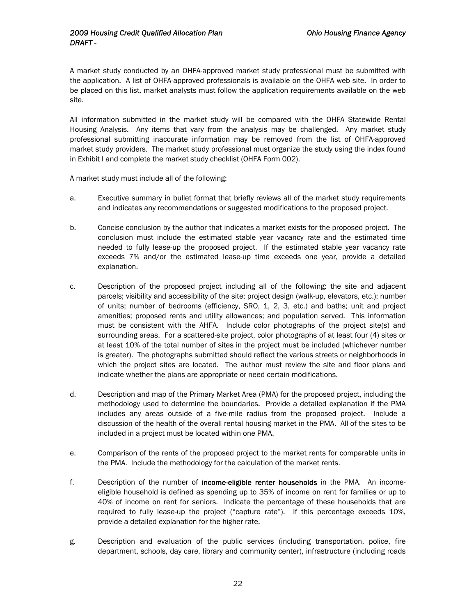A market study conducted by an OHFA-approved market study professional must be submitted with the application. A list of OHFA-approved professionals is available on the OHFA web site. In order to be placed on this list, market analysts must follow the application requirements available on the web site.

All information submitted in the market study will be compared with the OHFA Statewide Rental Housing Analysis. Any items that vary from the analysis may be challenged. Any market study professional submitting inaccurate information may be removed from the list of OHFA-approved market study providers. The market study professional must organize the study using the index found in Exhibit I and complete the market study checklist (OHFA Form 002).

A market study must include all of the following:

- a. Executive summary in bullet format that briefly reviews all of the market study requirements and indicates any recommendations or suggested modifications to the proposed project.
- b. Concise conclusion by the author that indicates a market exists for the proposed project. The conclusion must include the estimated stable year vacancy rate and the estimated time needed to fully lease-up the proposed project. If the estimated stable year vacancy rate exceeds 7% and/or the estimated lease-up time exceeds one year, provide a detailed explanation.
- c. Description of the proposed project including all of the following: the site and adjacent parcels; visibility and accessibility of the site; project design (walk-up, elevators, etc.); number of units; number of bedrooms (efficiency, SRO, 1, 2, 3, etc.) and baths; unit and project amenities; proposed rents and utility allowances; and population served. This information must be consistent with the AHFA. Include color photographs of the project site(s) and surrounding areas. For a scattered-site project, color photographs of at least four (4) sites or at least 10% of the total number of sites in the project must be included (whichever number is greater). The photographs submitted should reflect the various streets or neighborhoods in which the project sites are located. The author must review the site and floor plans and indicate whether the plans are appropriate or need certain modifications.
- d. Description and map of the Primary Market Area (PMA) for the proposed project, including the methodology used to determine the boundaries. Provide a detailed explanation if the PMA includes any areas outside of a five-mile radius from the proposed project. Include a discussion of the health of the overall rental housing market in the PMA. All of the sites to be included in a project must be located within one PMA.
- e. Comparison of the rents of the proposed project to the market rents for comparable units in the PMA. Include the methodology for the calculation of the market rents.
- f. Description of the number of income-eligible renter households in the PMA. An incomeeligible household is defined as spending up to 35% of income on rent for families or up to 40% of income on rent for seniors. Indicate the percentage of these households that are required to fully lease-up the project ("capture rate"). If this percentage exceeds 10%, provide a detailed explanation for the higher rate.
- g. Description and evaluation of the public services (including transportation, police, fire department, schools, day care, library and community center), infrastructure (including roads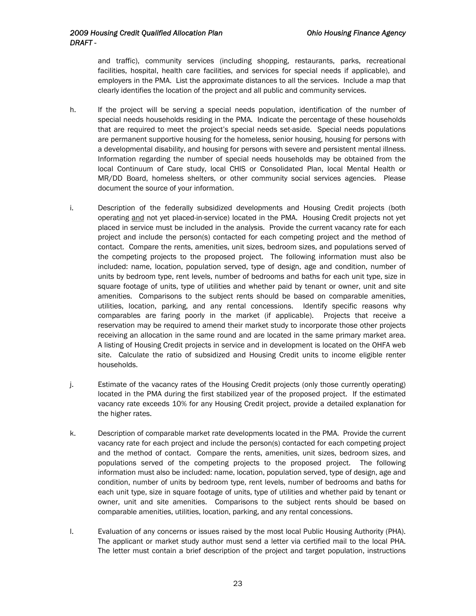and traffic), community services (including shopping, restaurants, parks, recreational facilities, hospital, health care facilities, and services for special needs if applicable), and employers in the PMA. List the approximate distances to all the services. Include a map that clearly identifies the location of the project and all public and community services.

- h. If the project will be serving a special needs population, identification of the number of special needs households residing in the PMA. Indicate the percentage of these households that are required to meet the project's special needs set-aside. Special needs populations are permanent supportive housing for the homeless, senior housing, housing for persons with a developmental disability, and housing for persons with severe and persistent mental illness. Information regarding the number of special needs households may be obtained from the local Continuum of Care study, local CHIS or Consolidated Plan, local Mental Health or MR/DD Board, homeless shelters, or other community social services agencies. Please document the source of your information.
- i. Description of the federally subsidized developments and Housing Credit projects (both operating and not yet placed-in-service) located in the PMA. Housing Credit projects not yet placed in service must be included in the analysis. Provide the current vacancy rate for each project and include the person(s) contacted for each competing project and the method of contact. Compare the rents, amenities, unit sizes, bedroom sizes, and populations served of the competing projects to the proposed project. The following information must also be included: name, location, population served, type of design, age and condition, number of units by bedroom type, rent levels, number of bedrooms and baths for each unit type, size in square footage of units, type of utilities and whether paid by tenant or owner, unit and site amenities. Comparisons to the subject rents should be based on comparable amenities, utilities, location, parking, and any rental concessions. Identify specific reasons why comparables are faring poorly in the market (if applicable). Projects that receive a reservation may be required to amend their market study to incorporate those other projects receiving an allocation in the same round and are located in the same primary market area. A listing of Housing Credit projects in service and in development is located on the OHFA web site. Calculate the ratio of subsidized and Housing Credit units to income eligible renter households.
- j. Estimate of the vacancy rates of the Housing Credit projects (only those currently operating) located in the PMA during the first stabilized year of the proposed project. If the estimated vacancy rate exceeds 10% for any Housing Credit project, provide a detailed explanation for the higher rates.
- k. Description of comparable market rate developments located in the PMA. Provide the current vacancy rate for each project and include the person(s) contacted for each competing project and the method of contact. Compare the rents, amenities, unit sizes, bedroom sizes, and populations served of the competing projects to the proposed project. The following information must also be included: name, location, population served, type of design, age and condition, number of units by bedroom type, rent levels, number of bedrooms and baths for each unit type, size in square footage of units, type of utilities and whether paid by tenant or owner, unit and site amenities. Comparisons to the subject rents should be based on comparable amenities, utilities, location, parking, and any rental concessions.
- l. Evaluation of any concerns or issues raised by the most local Public Housing Authority (PHA). The applicant or market study author must send a letter via certified mail to the local PHA. The letter must contain a brief description of the project and target population, instructions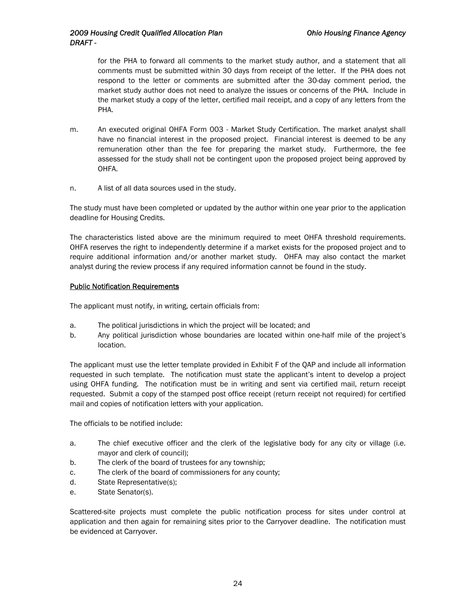for the PHA to forward all comments to the market study author, and a statement that all comments must be submitted within 30 days from receipt of the letter. If the PHA does not respond to the letter or comments are submitted after the 30-day comment period, the market study author does not need to analyze the issues or concerns of the PHA. Include in the market study a copy of the letter, certified mail receipt, and a copy of any letters from the PHA.

- m. An executed original OHFA Form 003 Market Study Certification. The market analyst shall have no financial interest in the proposed project. Financial interest is deemed to be any remuneration other than the fee for preparing the market study. Furthermore, the fee assessed for the study shall not be contingent upon the proposed project being approved by OHFA.
- n. A list of all data sources used in the study.

The study must have been completed or updated by the author within one year prior to the application deadline for Housing Credits.

The characteristics listed above are the minimum required to meet OHFA threshold requirements. OHFA reserves the right to independently determine if a market exists for the proposed project and to require additional information and/or another market study. OHFA may also contact the market analyst during the review process if any required information cannot be found in the study.

#### Public Notification Requirements

The applicant must notify, in writing, certain officials from:

- a. The political jurisdictions in which the project will be located; and
- b. Any political jurisdiction whose boundaries are located within one-half mile of the project's location.

The applicant must use the letter template provided in Exhibit F of the QAP and include all information requested in such template.The notification must state the applicant's intent to develop a project using OHFA funding. The notification must be in writing and sent via certified mail, return receipt requested. Submit a copy of the stamped post office receipt (return receipt not required) for certified mail and copies of notification letters with your application.

The officials to be notified include:

- a. The chief executive officer and the clerk of the legislative body for any city or village (i.e. mayor and clerk of council);
- b. The clerk of the board of trustees for any township;
- c. The clerk of the board of commissioners for any county;
- d. State Representative(s);
- e. State Senator(s).

Scattered-site projects must complete the public notification process for sites under control at application and then again for remaining sites prior to the Carryover deadline. The notification must be evidenced at Carryover.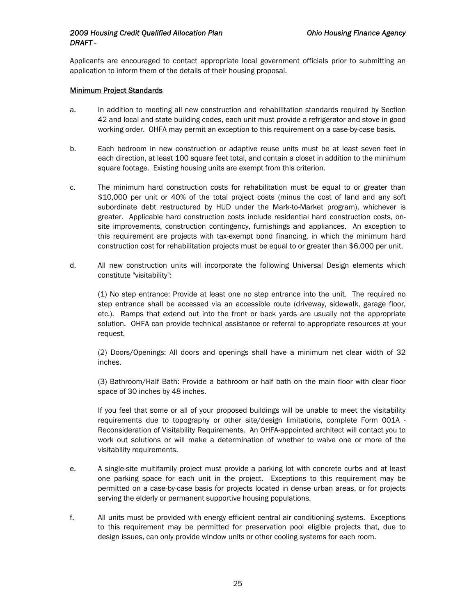Applicants are encouraged to contact appropriate local government officials prior to submitting an application to inform them of the details of their housing proposal.

#### Minimum Project Standards

- a. In addition to meeting all new construction and rehabilitation standards required by Section 42 and local and state building codes, each unit must provide a refrigerator and stove in good working order. OHFA may permit an exception to this requirement on a case-by-case basis.
- b. Each bedroom in new construction or adaptive reuse units must be at least seven feet in each direction, at least 100 square feet total, and contain a closet in addition to the minimum square footage. Existing housing units are exempt from this criterion.
- c. The minimum hard construction costs for rehabilitation must be equal to or greater than \$10,000 per unit or 40% of the total project costs (minus the cost of land and any soft subordinate debt restructured by HUD under the Mark-to-Market program), whichever is greater. Applicable hard construction costs include residential hard construction costs, onsite improvements, construction contingency, furnishings and appliances. An exception to this requirement are projects with tax-exempt bond financing, in which the minimum hard construction cost for rehabilitation projects must be equal to or greater than \$6,000 per unit.
- d. All new construction units will incorporate the following Universal Design elements which constitute "visitability":

(1) No step entrance: Provide at least one no step entrance into the unit. The required no step entrance shall be accessed via an accessible route (driveway, sidewalk, garage floor, etc.). Ramps that extend out into the front or back yards are usually not the appropriate solution. OHFA can provide technical assistance or referral to appropriate resources at your request.

(2) Doors/Openings: All doors and openings shall have a minimum net clear width of 32 inches.

(3) Bathroom/Half Bath: Provide a bathroom or half bath on the main floor with clear floor space of 30 inches by 48 inches.

If you feel that some or all of your proposed buildings will be unable to meet the visitability requirements due to topography or other site/design limitations, complete Form 001A - Reconsideration of Visitability Requirements. An OHFA-appointed architect will contact you to work out solutions or will make a determination of whether to waive one or more of the visitability requirements.

- e. A single-site multifamily project must provide a parking lot with concrete curbs and at least one parking space for each unit in the project. Exceptions to this requirement may be permitted on a case-by-case basis for projects located in dense urban areas, or for projects serving the elderly or permanent supportive housing populations.
- f. All units must be provided with energy efficient central air conditioning systems. Exceptions to this requirement may be permitted for preservation pool eligible projects that, due to design issues, can only provide window units or other cooling systems for each room.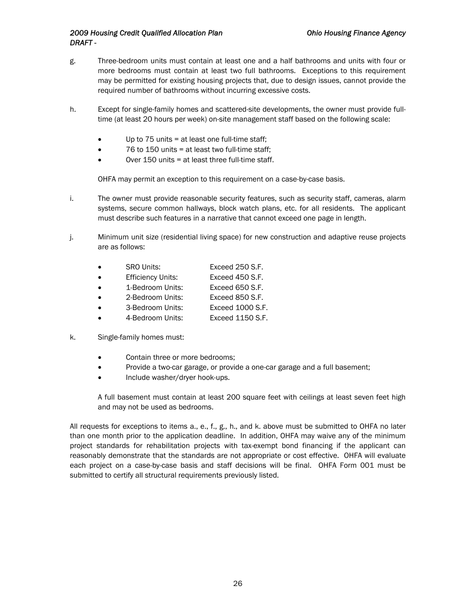- g. Three-bedroom units must contain at least one and a half bathrooms and units with four or more bedrooms must contain at least two full bathrooms. Exceptions to this requirement may be permitted for existing housing projects that, due to design issues, cannot provide the required number of bathrooms without incurring excessive costs.
- h. Except for single-family homes and scattered-site developments, the owner must provide fulltime (at least 20 hours per week) on-site management staff based on the following scale:
	- Up to 75 units = at least one full-time staff;
	- 76 to 150 units = at least two full-time staff;
	- Over 150 units = at least three full-time staff.

OHFA may permit an exception to this requirement on a case-by-case basis.

- i. The owner must provide reasonable security features, such as security staff, cameras, alarm systems, secure common hallways, block watch plans, etc. for all residents. The applicant must describe such features in a narrative that cannot exceed one page in length.
- j. Minimum unit size (residential living space) for new construction and adaptive reuse projects are as follows:
	- SRO Units: Exceed 250 S.F.
	- Efficiency Units: Exceed 450 S.F.
	- 1-Bedroom Units: Exceed 650 S.F.
	- 2-Bedroom Units: Exceed 850 S.F.
	- 3-Bedroom Units: Exceed 1000 S.F.
	- 4-Bedroom Units: Exceed 1150 S.F.
- k. Single-family homes must:
	- Contain three or more bedrooms;
	- Provide a two-car garage, or provide a one-car garage and a full basement;
	- Include washer/dryer hook-ups.

A full basement must contain at least 200 square feet with ceilings at least seven feet high and may not be used as bedrooms.

All requests for exceptions to items a., e., f., g., h., and k. above must be submitted to OHFA no later than one month prior to the application deadline. In addition, OHFA may waive any of the minimum project standards for rehabilitation projects with tax-exempt bond financing if the applicant can reasonably demonstrate that the standards are not appropriate or cost effective. OHFA will evaluate each project on a case-by-case basis and staff decisions will be final. OHFA Form 001 must be submitted to certify all structural requirements previously listed.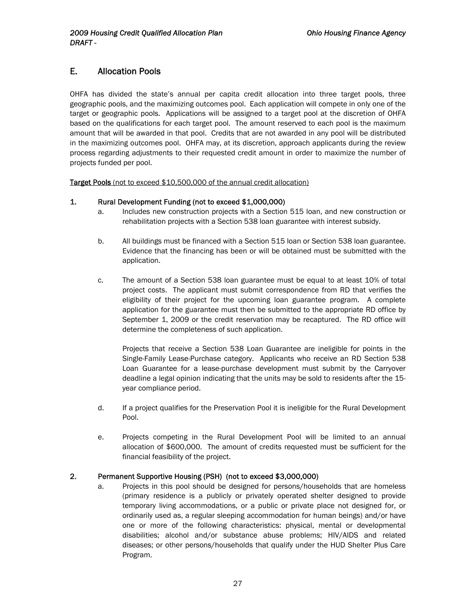# <span id="page-27-0"></span>E. Allocation Pools

OHFA has divided the state's annual per capita credit allocation into three target pools, three geographic pools, and the maximizing outcomes pool. Each application will compete in only one of the target or geographic pools. Applications will be assigned to a target pool at the discretion of OHFA based on the qualifications for each target pool. The amount reserved to each pool is the maximum amount that will be awarded in that pool. Credits that are not awarded in any pool will be distributed in the maximizing outcomes pool. OHFA may, at its discretion, approach applicants during the review process regarding adjustments to their requested credit amount in order to maximize the number of projects funded per pool.

Target Pools (not to exceed \$10,500,000 of the annual credit allocation)

#### 1. Rural Development Funding (not to exceed \$1,000,000)

- a. Includes new construction projects with a Section 515 loan, and new construction or rehabilitation projects with a Section 538 loan guarantee with interest subsidy.
- b. All buildings must be financed with a Section 515 loan or Section 538 loan guarantee. Evidence that the financing has been or will be obtained must be submitted with the application.
- c. The amount of a Section 538 loan guarantee must be equal to at least 10% of total project costs. The applicant must submit correspondence from RD that verifies the eligibility of their project for the upcoming loan guarantee program. A complete application for the guarantee must then be submitted to the appropriate RD office by September 1, 2009 or the credit reservation may be recaptured. The RD office will determine the completeness of such application.

Projects that receive a Section 538 Loan Guarantee are ineligible for points in the Single-Family Lease-Purchase category. Applicants who receive an RD Section 538 Loan Guarantee for a lease-purchase development must submit by the Carryover deadline a legal opinion indicating that the units may be sold to residents after the 15 year compliance period.

- d. If a project qualifies for the Preservation Pool it is ineligible for the Rural Development Pool.
- e. Projects competing in the Rural Development Pool will be limited to an annual allocation of \$600,000. The amount of credits requested must be sufficient for the financial feasibility of the project.

#### 2. Permanent Supportive Housing (PSH) (not to exceed \$3,000,000)

a. Projects in this pool should be designed for persons/households that are homeless (primary residence is a publicly or privately operated shelter designed to provide temporary living accommodations, or a public or private place not designed for, or ordinarily used as, a regular sleeping accommodation for human beings) and/or have one or more of the following characteristics: physical, mental or developmental disabilities; alcohol and/or substance abuse problems; HIV/AIDS and related diseases; or other persons/households that qualify under the HUD Shelter Plus Care Program.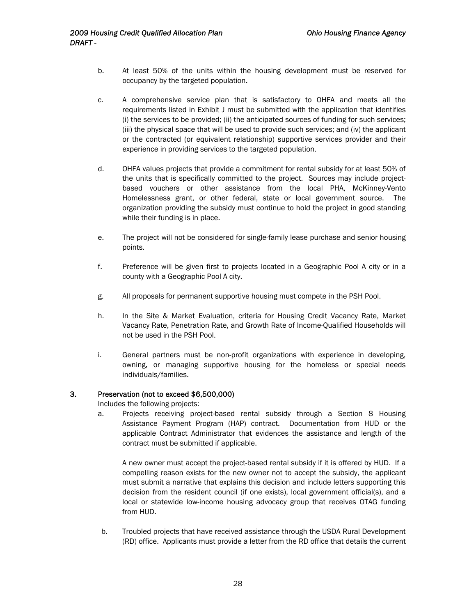- b. At least 50% of the units within the housing development must be reserved for occupancy by the targeted population.
- c. A comprehensive service plan that is satisfactory to OHFA and meets all the requirements listed in Exhibit J must be submitted with the application that identifies (i) the services to be provided; (ii) the anticipated sources of funding for such services; (iii) the physical space that will be used to provide such services; and (iv) the applicant or the contracted (or equivalent relationship) supportive services provider and their experience in providing services to the targeted population.
- d. OHFA values projects that provide a commitment for rental subsidy for at least 50% of the units that is specifically committed to the project. Sources may include projectbased vouchers or other assistance from the local PHA, McKinney-Vento Homelessness grant, or other federal, state or local government source. The organization providing the subsidy must continue to hold the project in good standing while their funding is in place.
- e. The project will not be considered for single-family lease purchase and senior housing points.
- f. Preference will be given first to projects located in a Geographic Pool A city or in a county with a Geographic Pool A city.
- g. All proposals for permanent supportive housing must compete in the PSH Pool.
- h. In the Site & Market Evaluation, criteria for Housing Credit Vacancy Rate, Market Vacancy Rate, Penetration Rate, and Growth Rate of Income-Qualified Households will not be used in the PSH Pool.
- i. General partners must be non-profit organizations with experience in developing, owning, or managing supportive housing for the homeless or special needs individuals/families.

#### 3. Preservation (not to exceed \$6,500,000)

Includes the following projects:

a. Projects receiving project-based rental subsidy through a Section 8 Housing Assistance Payment Program (HAP) contract. Documentation from HUD or the applicable Contract Administrator that evidences the assistance and length of the contract must be submitted if applicable.

A new owner must accept the project-based rental subsidy if it is offered by HUD. If a compelling reason exists for the new owner not to accept the subsidy, the applicant must submit a narrative that explains this decision and include letters supporting this decision from the resident council (if one exists), local government official(s), and a local or statewide low-income housing advocacy group that receives OTAG funding from HUD.

b. Troubled projects that have received assistance through the USDA Rural Development (RD) office. Applicants must provide a letter from the RD office that details the current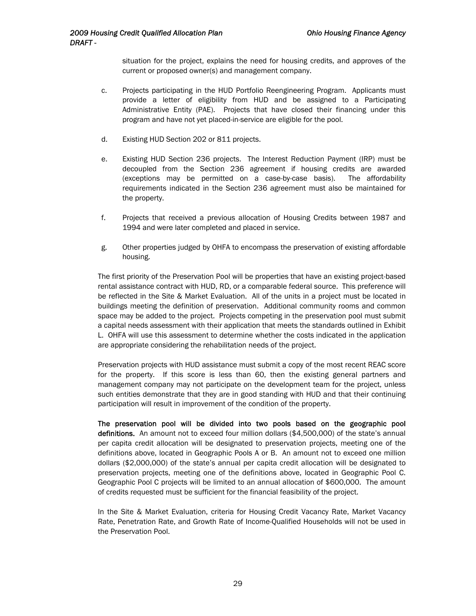situation for the project, explains the need for housing credits, and approves of the current or proposed owner(s) and management company.

- c. Projects participating in the HUD Portfolio Reengineering Program. Applicants must provide a letter of eligibility from HUD and be assigned to a Participating Administrative Entity (PAE). Projects that have closed their financing under this program and have not yet placed-in-service are eligible for the pool.
- d. Existing HUD Section 202 or 811 projects.
- e. Existing HUD Section 236 projects. The Interest Reduction Payment (IRP) must be decoupled from the Section 236 agreement if housing credits are awarded (exceptions may be permitted on a case-by-case basis). The affordability requirements indicated in the Section 236 agreement must also be maintained for the property.
- f. Projects that received a previous allocation of Housing Credits between 1987 and 1994 and were later completed and placed in service.
- g. Other properties judged by OHFA to encompass the preservation of existing affordable housing.

The first priority of the Preservation Pool will be properties that have an existing project-based rental assistance contract with HUD, RD, or a comparable federal source. This preference will be reflected in the Site & Market Evaluation. All of the units in a project must be located in buildings meeting the definition of preservation. Additional community rooms and common space may be added to the project. Projects competing in the preservation pool must submit a capital needs assessment with their application that meets the standards outlined in Exhibit L. OHFA will use this assessment to determine whether the costs indicated in the application are appropriate considering the rehabilitation needs of the project.

Preservation projects with HUD assistance must submit a copy of the most recent REAC score for the property. If this score is less than 60, then the existing general partners and management company may not participate on the development team for the project, unless such entities demonstrate that they are in good standing with HUD and that their continuing participation will result in improvement of the condition of the property.

The preservation pool will be divided into two pools based on the geographic pool definitions. An amount not to exceed four million dollars (\$4,500,000) of the state's annual per capita credit allocation will be designated to preservation projects, meeting one of the definitions above, located in Geographic Pools A or B. An amount not to exceed one million dollars (\$2,000,000) of the state's annual per capita credit allocation will be designated to preservation projects, meeting one of the definitions above, located in Geographic Pool C. Geographic Pool C projects will be limited to an annual allocation of \$600,000. The amount of credits requested must be sufficient for the financial feasibility of the project.

In the Site & Market Evaluation, criteria for Housing Credit Vacancy Rate, Market Vacancy Rate, Penetration Rate, and Growth Rate of Income-Qualified Households will not be used in the Preservation Pool.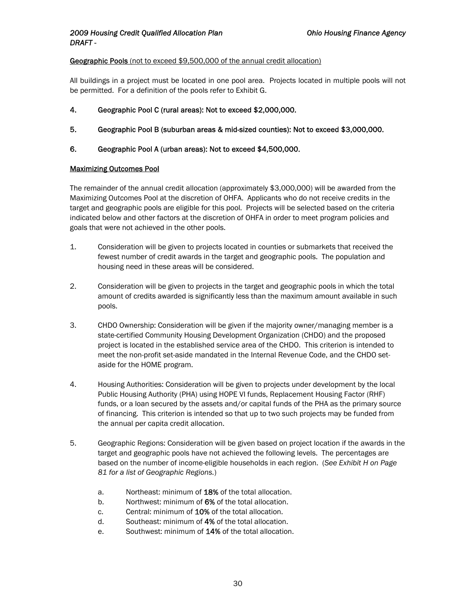#### Geographic Pools (not to exceed \$9,500,000 of the annual credit allocation)

All buildings in a project must be located in one pool area. Projects located in multiple pools will not be permitted. For a definition of the pools refer to Exhibit G.

- 4. Geographic Pool C (rural areas): Not to exceed \$2,000,000.
- 5. Geographic Pool B (suburban areas & mid-sized counties): Not to exceed \$3,000,000.
- 6. Geographic Pool A (urban areas): Not to exceed \$4,500,000.

#### Maximizing Outcomes Pool

The remainder of the annual credit allocation (approximately \$3,000,000) will be awarded from the Maximizing Outcomes Pool at the discretion of OHFA. Applicants who do not receive credits in the target and geographic pools are eligible for this pool. Projects will be selected based on the criteria indicated below and other factors at the discretion of OHFA in order to meet program policies and goals that were not achieved in the other pools.

- 1. Consideration will be given to projects located in counties or submarkets that received the fewest number of credit awards in the target and geographic pools. The population and housing need in these areas will be considered.
- 2. Consideration will be given to projects in the target and geographic pools in which the total amount of credits awarded is significantly less than the maximum amount available in such pools.
- 3. CHDO Ownership: Consideration will be given if the majority owner/managing member is a state-certified Community Housing Development Organization (CHDO) and the proposed project is located in the established service area of the CHDO. This criterion is intended to meet the non-profit set-aside mandated in the Internal Revenue Code, and the CHDO setaside for the HOME program.
- 4. Housing Authorities: Consideration will be given to projects under development by the local Public Housing Authority (PHA) using HOPE VI funds, Replacement Housing Factor (RHF) funds, or a loan secured by the assets and/or capital funds of the PHA as the primary source of financing. This criterion is intended so that up to two such projects may be funded from the annual per capita credit allocation.
- 5. Geographic Regions: Consideration will be given based on project location if the awards in the target and geographic pools have not achieved the following levels. The percentages are based on the number of income-eligible households in each region. (*See Exhibit H on Page 81 for a list of Geographic Regions.*)
	- a. Northeast: minimum of 18% of the total allocation.
	- b. Northwest: minimum of 6% of the total allocation.
	- c. Central: minimum of 10% of the total allocation.
	- d. Southeast: minimum of 4% of the total allocation.
	- e. Southwest: minimum of 14% of the total allocation.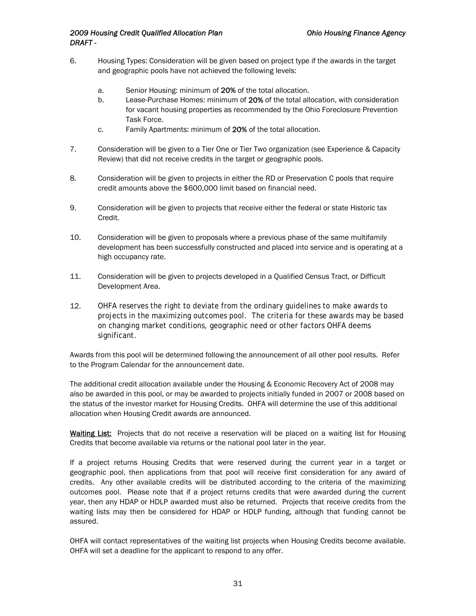- 6. Housing Types: Consideration will be given based on project type if the awards in the target and geographic pools have not achieved the following levels:
	- a. Senior Housing: minimum of 20% of the total allocation.
	- b. Lease-Purchase Homes: minimum of 20% of the total allocation, with consideration for vacant housing properties as recommended by the Ohio Foreclosure Prevention Task Force.
	- c. Family Apartments: minimum of 20% of the total allocation.
- 7. Consideration will be given to a Tier One or Tier Two organization (see Experience & Capacity Review) that did not receive credits in the target or geographic pools.
- 8. Consideration will be given to projects in either the RD or Preservation C pools that require credit amounts above the \$600,000 limit based on financial need.
- 9. Consideration will be given to projects that receive either the federal or state Historic tax Credit.
- 10. Consideration will be given to proposals where a previous phase of the same multifamily development has been successfully constructed and placed into service and is operating at a high occupancy rate.
- 11. Consideration will be given to projects developed in a Qualified Census Tract, or Difficult Development Area.
- 12. OHFA reserves the right to deviate from the ordinary guidelines to make awards to projects in the maximizing outcomes pool. The criteria for these awards may be based on changing market conditions, geographic need or other factors OHFA deems significant.

Awards from this pool will be determined following the announcement of all other pool results. Refer to the Program Calendar for the announcement date.

The additional credit allocation available under the Housing & Economic Recovery Act of 2008 may also be awarded in this pool, or may be awarded to projects initially funded in 2007 or 2008 based on the status of the investor market for Housing Credits. OHFA will determine the use of this additional allocation when Housing Credit awards are announced.

Waiting List: Projects that do not receive a reservation will be placed on a waiting list for Housing Credits that become available via returns or the national pool later in the year.

If a project returns Housing Credits that were reserved during the current year in a target or geographic pool, then applications from that pool will receive first consideration for any award of credits. Any other available credits will be distributed according to the criteria of the maximizing outcomes pool. Please note that if a project returns credits that were awarded during the current year, then any HDAP or HDLP awarded must also be returned. Projects that receive credits from the waiting lists may then be considered for HDAP or HDLP funding, although that funding cannot be assured.

OHFA will contact representatives of the waiting list projects when Housing Credits become available. OHFA will set a deadline for the applicant to respond to any offer.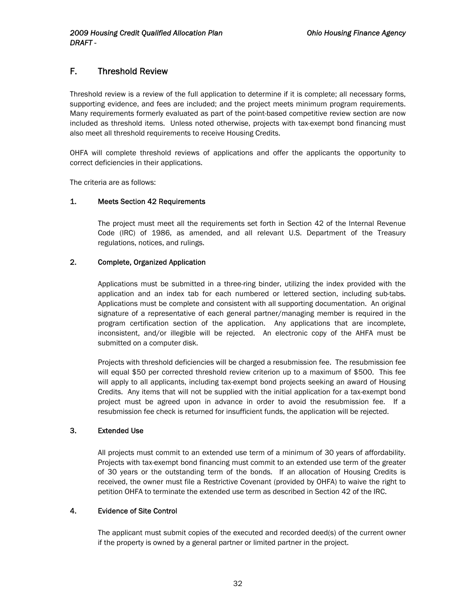# <span id="page-32-0"></span>F. Threshold Review

Threshold review is a review of the full application to determine if it is complete; all necessary forms, supporting evidence, and fees are included; and the project meets minimum program requirements. Many requirements formerly evaluated as part of the point-based competitive review section are now included as threshold items. Unless noted otherwise, projects with tax-exempt bond financing must also meet all threshold requirements to receive Housing Credits.

OHFA will complete threshold reviews of applications and offer the applicants the opportunity to correct deficiencies in their applications.

The criteria are as follows:

#### 1. Meets Section 42 Requirements

The project must meet all the requirements set forth in Section 42 of the Internal Revenue Code (IRC) of 1986, as amended, and all relevant U.S. Department of the Treasury regulations, notices, and rulings.

#### 2. Complete, Organized Application

Applications must be submitted in a three-ring binder, utilizing the index provided with the application and an index tab for each numbered or lettered section, including sub-tabs. Applications must be complete and consistent with all supporting documentation. An original signature of a representative of each general partner/managing member is required in the program certification section of the application. Any applications that are incomplete, inconsistent, and/or illegible will be rejected. An electronic copy of the AHFA must be submitted on a computer disk.

Projects with threshold deficiencies will be charged a resubmission fee. The resubmission fee will equal \$50 per corrected threshold review criterion up to a maximum of \$500. This fee will apply to all applicants, including tax-exempt bond projects seeking an award of Housing Credits. Any items that will not be supplied with the initial application for a tax-exempt bond project must be agreed upon in advance in order to avoid the resubmission fee. If a resubmission fee check is returned for insufficient funds, the application will be rejected.

#### 3. Extended Use

All projects must commit to an extended use term of a minimum of 30 years of affordability. Projects with tax-exempt bond financing must commit to an extended use term of the greater of 30 years or the outstanding term of the bonds. If an allocation of Housing Credits is received, the owner must file a Restrictive Covenant (provided by OHFA) to waive the right to petition OHFA to terminate the extended use term as described in Section 42 of the IRC.

#### 4. Evidence of Site Control

The applicant must submit copies of the executed and recorded deed(s) of the current owner if the property is owned by a general partner or limited partner in the project.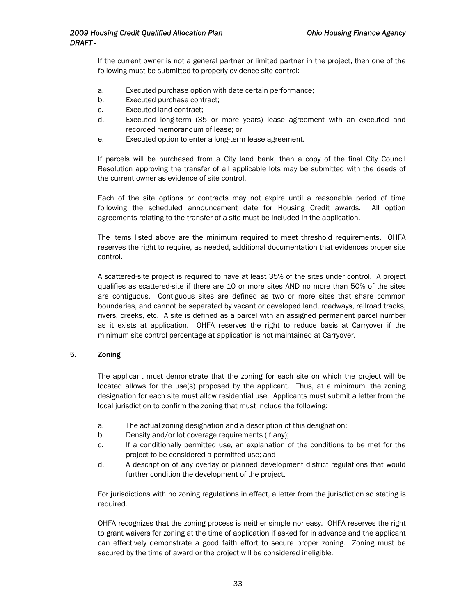<span id="page-33-0"></span>If the current owner is not a general partner or limited partner in the project, then one of the following must be submitted to properly evidence site control:

- a. Executed purchase option with date certain performance;
- b. Executed purchase contract;
- c. Executed land contract;
- d. Executed long-term (35 or more years) lease agreement with an executed and recorded memorandum of lease; or
- e. Executed option to enter a long-term lease agreement.

If parcels will be purchased from a City land bank, then a copy of the final City Council Resolution approving the transfer of all applicable lots may be submitted with the deeds of the current owner as evidence of site control.

Each of the site options or contracts may not expire until a reasonable period of time following the scheduled announcement date for Housing Credit awards. All option agreements relating to the transfer of a site must be included in the application.

The items listed above are the minimum required to meet threshold requirements. OHFA reserves the right to require, as needed, additional documentation that evidences proper site control.

A scattered-site project is required to have at least 35% of the sites under control. A project qualifies as scattered-site if there are 10 or more sites AND no more than 50% of the sites are contiguous. Contiguous sites are defined as two or more sites that share common boundaries, and cannot be separated by vacant or developed land, roadways, railroad tracks, rivers, creeks, etc. A site is defined as a parcel with an assigned permanent parcel number as it exists at application. OHFA reserves the right to reduce basis at Carryover if the minimum site control percentage at application is not maintained at Carryover.

#### 5. Zoning

The applicant must demonstrate that the zoning for each site on which the project will be located allows for the use(s) proposed by the applicant. Thus, at a minimum, the zoning designation for each site must allow residential use. Applicants must submit a letter from the local jurisdiction to confirm the zoning that must include the following:

- a. The actual zoning designation and a description of this designation;
- b. Density and/or lot coverage requirements (if any);
- c. If a conditionally permitted use, an explanation of the conditions to be met for the project to be considered a permitted use; and
- d. A description of any overlay or planned development district regulations that would further condition the development of the project.

For jurisdictions with no zoning regulations in effect, a letter from the jurisdiction so stating is required.

OHFA recognizes that the zoning process is neither simple nor easy. OHFA reserves the right to grant waivers for zoning at the time of application if asked for in advance and the applicant can effectively demonstrate a good faith effort to secure proper zoning. Zoning must be secured by the time of award or the project will be considered ineligible.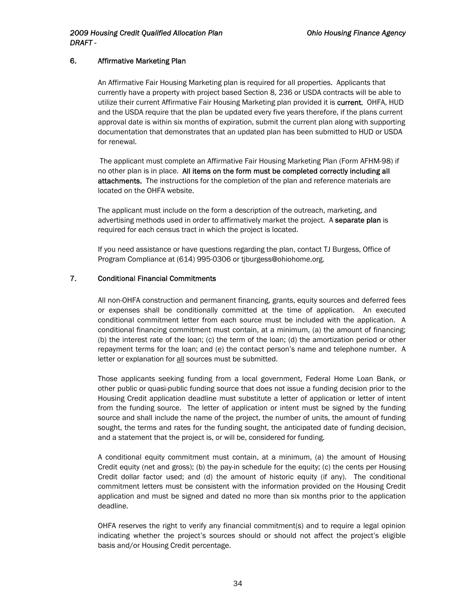#### <span id="page-34-0"></span>6. Affirmative Marketing Plan

An Affirmative Fair Housing Marketing plan is required for all properties. Applicants that currently have a property with project based Section 8, 236 or USDA contracts will be able to utilize their current Affirmative Fair Housing Marketing plan provided it is current. OHFA, HUD and the USDA require that the plan be updated every five years therefore, if the plans current approval date is within six months of expiration, submit the current plan along with supporting documentation that demonstrates that an updated plan has been submitted to HUD or USDA for renewal.

 The applicant must complete an Affirmative Fair Housing Marketing Plan (Form AFHM-98) if no other plan is in place. All items on the form must be completed correctly including all attachments. The instructions for the completion of the plan and reference materials are located on the OHFA website.

The applicant must include on the form a description of the outreach, marketing, and advertising methods used in order to affirmatively market the project. A separate plan is required for each census tract in which the project is located.

If you need assistance or have questions regarding the plan, contact TJ Burgess, Office of Program Compliance at (614) 995-0306 or tjburgess@ohiohome.org.

#### 7. Conditional Financial Commitments

All non-OHFA construction and permanent financing, grants, equity sources and deferred fees or expenses shall be conditionally committed at the time of application. An executed conditional commitment letter from each source must be included with the application. A conditional financing commitment must contain, at a minimum, (a) the amount of financing; (b) the interest rate of the loan; (c) the term of the loan; (d) the amortization period or other repayment terms for the loan; and (e) the contact person's name and telephone number. A letter or explanation for all sources must be submitted.

Those applicants seeking funding from a local government, Federal Home Loan Bank, or other public or quasi-public funding source that does not issue a funding decision prior to the Housing Credit application deadline must substitute a letter of application or letter of intent from the funding source. The letter of application or intent must be signed by the funding source and shall include the name of the project, the number of units, the amount of funding sought, the terms and rates for the funding sought, the anticipated date of funding decision, and a statement that the project is, or will be, considered for funding.

A conditional equity commitment must contain, at a minimum, (a) the amount of Housing Credit equity (net and gross); (b) the pay-in schedule for the equity; (c) the cents per Housing Credit dollar factor used; and (d) the amount of historic equity (if any). The conditional commitment letters must be consistent with the information provided on the Housing Credit application and must be signed and dated no more than six months prior to the application deadline.

OHFA reserves the right to verify any financial commitment(s) and to require a legal opinion indicating whether the project's sources should or should not affect the project's eligible basis and/or Housing Credit percentage.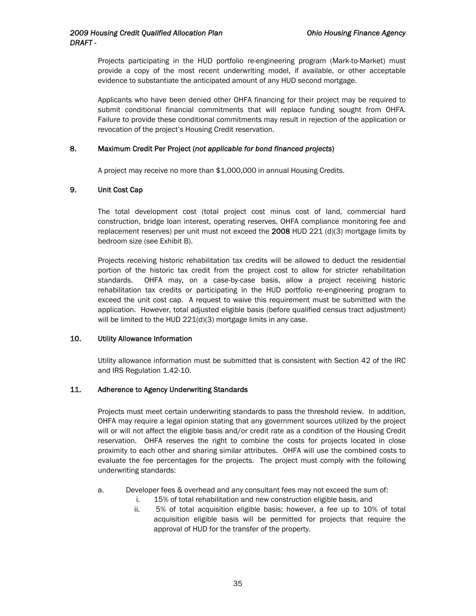<span id="page-35-0"></span>Projects participating in the HUD portfolio re-engineering program (Mark-to-Market) must provide a copy of the most recent underwriting model, if available, or other acceptable evidence to substantiate the anticipated amount of any HUD second mortgage.

Applicants who have been denied other OHFA financing for their project may be required to submit conditional financial commitments that will replace funding sought from OHFA. Failure to provide these conditional commitments may result in rejection of the application or revocation of the project's Housing Credit reservation.

#### 8. Maximum Credit Per Project (*not applicable for bond financed projects*)

A project may receive no more than \$1,000,000 in annual Housing Credits.

#### 9. Unit Cost Cap

The total development cost (total project cost minus cost of land, commercial hard construction, bridge loan interest, operating reserves, OHFA compliance monitoring fee and replacement reserves) per unit must not exceed the  $2008$  HUD 221 (d)(3) mortgage limits by bedroom size (see Exhibit B).

Projects receiving historic rehabilitation tax credits will be allowed to deduct the residential portion of the historic tax credit from the project cost to allow for stricter rehabilitation standards. OHFA may, on a case-by-case basis, allow a project receiving historic rehabilitation tax credits or participating in the HUD portfolio re-engineering program to exceed the unit cost cap. A request to waive this requirement must be submitted with the application. However, total adjusted eligible basis (before qualified census tract adjustment) will be limited to the HUD 221(d)(3) mortgage limits in any case.

#### 10. Utility Allowance Information

Utility allowance information must be submitted that is consistent with Section 42 of the IRC and IRS Regulation 1.42-10.

#### 11. Adherence to Agency Underwriting Standards

Projects must meet certain underwriting standards to pass the threshold review. In addition, OHFA may require a legal opinion stating that any government sources utilized by the project will or will not affect the eligible basis and/or credit rate as a condition of the Housing Credit reservation. OHFA reserves the right to combine the costs for projects located in close proximity to each other and sharing similar attributes. OHFA will use the combined costs to evaluate the fee percentages for the projects. The project must comply with the following underwriting standards:

- a. Developer fees & overhead and any consultant fees may not exceed the sum of:
	- i. 15% of total rehabilitation and new construction eligible basis, and
	- ii. 5% of total acquisition eligible basis; however, a fee up to 10% of total acquisition eligible basis will be permitted for projects that require the approval of HUD for the transfer of the property.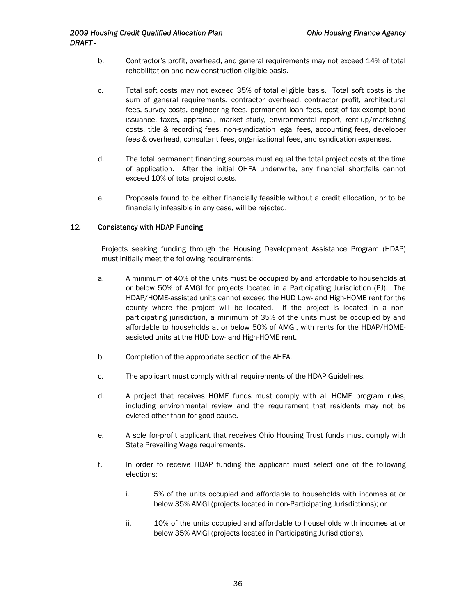- <span id="page-36-0"></span>b. Contractor's profit, overhead, and general requirements may not exceed 14% of total rehabilitation and new construction eligible basis.
- c. Total soft costs may not exceed 35% of total eligible basis. Total soft costs is the sum of general requirements, contractor overhead, contractor profit, architectural fees, survey costs, engineering fees, permanent loan fees, cost of tax-exempt bond issuance, taxes, appraisal, market study, environmental report, rent-up/marketing costs, title & recording fees, non-syndication legal fees, accounting fees, developer fees & overhead, consultant fees, organizational fees, and syndication expenses.
- d. The total permanent financing sources must equal the total project costs at the time of application. After the initial OHFA underwrite, any financial shortfalls cannot exceed 10% of total project costs.
- e. Proposals found to be either financially feasible without a credit allocation, or to be financially infeasible in any case, will be rejected.

#### 12*.* Consistency with HDAP Funding

Projects seeking funding through the Housing Development Assistance Program (HDAP) must initially meet the following requirements:

- a. A minimum of 40% of the units must be occupied by and affordable to households at or below 50% of AMGI for projects located in a Participating Jurisdiction (PJ). The HDAP/HOME-assisted units cannot exceed the HUD Low- and High-HOME rent for the county where the project will be located. If the project is located in a nonparticipating jurisdiction, a minimum of 35% of the units must be occupied by and affordable to households at or below 50% of AMGI, with rents for the HDAP/HOMEassisted units at the HUD Low- and High-HOME rent.
- b. Completion of the appropriate section of the AHFA.
- c. The applicant must comply with all requirements of the HDAP Guidelines.
- d. A project that receives HOME funds must comply with all HOME program rules, including environmental review and the requirement that residents may not be evicted other than for good cause.
- e. A sole for-profit applicant that receives Ohio Housing Trust funds must comply with State Prevailing Wage requirements.
- f. In order to receive HDAP funding the applicant must select one of the following elections:
	- i. 5% of the units occupied and affordable to households with incomes at or below 35% AMGI (projects located in non-Participating Jurisdictions); or
	- ii. 10% of the units occupied and affordable to households with incomes at or below 35% AMGI (projects located in Participating Jurisdictions).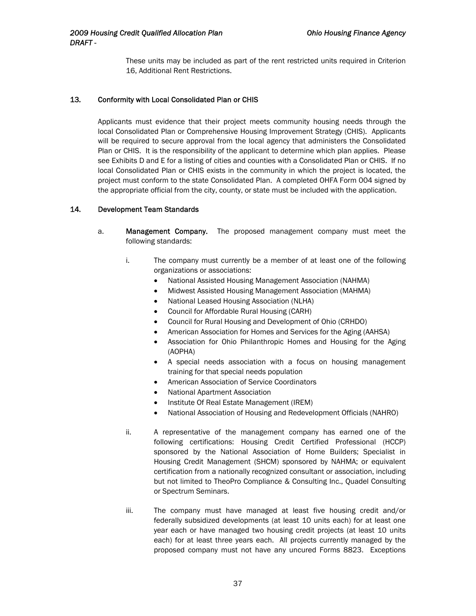These units may be included as part of the rent restricted units required in Criterion 16, Additional Rent Restrictions.

#### <span id="page-37-0"></span>13*.* Conformity with Local Consolidated Plan or CHIS

Applicants must evidence that their project meets community housing needs through the local Consolidated Plan or Comprehensive Housing Improvement Strategy (CHIS). Applicants will be required to secure approval from the local agency that administers the Consolidated Plan or CHIS. It is the responsibility of the applicant to determine which plan applies. Please see Exhibits D and E for a listing of cities and counties with a Consolidated Plan or CHIS. If no local Consolidated Plan or CHIS exists in the community in which the project is located, the project must conform to the state Consolidated Plan. A completed OHFA Form 004 signed by the appropriate official from the city, county, or state must be included with the application.

#### 14*.* Development Team Standards

- a. Management Company. The proposed management company must meet the following standards:
	- i. The company must currently be a member of at least one of the following organizations or associations:
		- National Assisted Housing Management Association (NAHMA)
		- Midwest Assisted Housing Management Association (MAHMA)
		- National Leased Housing Association (NLHA)
		- Council for Affordable Rural Housing (CARH)
		- Council for Rural Housing and Development of Ohio (CRHDO)
		- American Association for Homes and Services for the Aging (AAHSA)
		- Association for Ohio Philanthropic Homes and Housing for the Aging (AOPHA)
		- A special needs association with a focus on housing management training for that special needs population
		- American Association of Service Coordinators
		- National Apartment Association
		- Institute Of Real Estate Management (IREM)
		- National Association of Housing and Redevelopment Officials (NAHRO)
	- ii. A representative of the management company has earned one of the following certifications: Housing Credit Certified Professional (HCCP) sponsored by the National Association of Home Builders; Specialist in Housing Credit Management (SHCM) sponsored by NAHMA; or equivalent certification from a nationally recognized consultant or association, including but not limited to TheoPro Compliance & Consulting Inc., Quadel Consulting or Spectrum Seminars.
	- iii. The company must have managed at least five housing credit and/or federally subsidized developments (at least 10 units each) for at least one year each or have managed two housing credit projects (at least 10 units each) for at least three years each. All projects currently managed by the proposed company must not have any uncured Forms 8823. Exceptions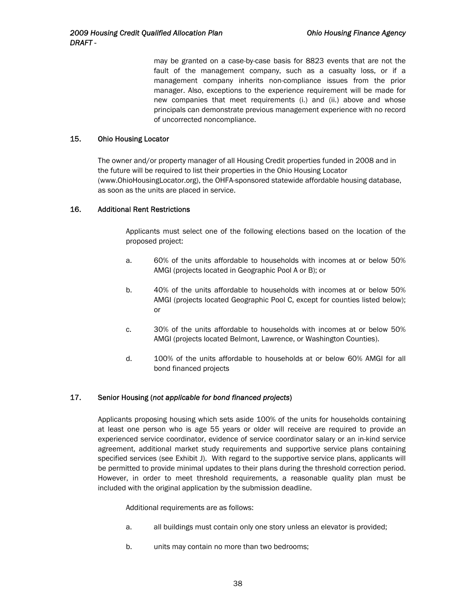may be granted on a case-by-case basis for 8823 events that are not the fault of the management company, such as a casualty loss, or if a management company inherits non-compliance issues from the prior manager. Also, exceptions to the experience requirement will be made for new companies that meet requirements (i.) and (ii.) above and whose principals can demonstrate previous management experience with no record of uncorrected noncompliance.

#### <span id="page-38-0"></span>15. Ohio Housing Locator

The owner and/or property manager of all Housing Credit properties funded in 2008 and in the future will be required to list their properties in the Ohio Housing Locator (www.OhioHousingLocator.org), the OHFA-sponsored statewide affordable housing database, as soon as the units are placed in service.

#### 16. Additional Rent Restrictions

Applicants must select one of the following elections based on the location of the proposed project:

- a. 60% of the units affordable to households with incomes at or below 50% AMGI (projects located in Geographic Pool A or B); or
- b. 40% of the units affordable to households with incomes at or below 50% AMGI (projects located Geographic Pool C, except for counties listed below); or
- c. 30% of the units affordable to households with incomes at or below 50% AMGI (projects located Belmont, Lawrence, or Washington Counties).
- d. 100% of the units affordable to households at or below 60% AMGI for all bond financed projects

#### 17. Senior Housing (*not applicable for bond financed projects*)

Applicants proposing housing which sets aside 100% of the units for households containing at least one person who is age 55 years or older will receive are required to provide an experienced service coordinator, evidence of service coordinator salary or an in-kind service agreement, additional market study requirements and supportive service plans containing specified services (see Exhibit J). With regard to the supportive service plans, applicants will be permitted to provide minimal updates to their plans during the threshold correction period. However, in order to meet threshold requirements, a reasonable quality plan must be included with the original application by the submission deadline.

Additional requirements are as follows:

- a. all buildings must contain only one story unless an elevator is provided;
- b. units may contain no more than two bedrooms;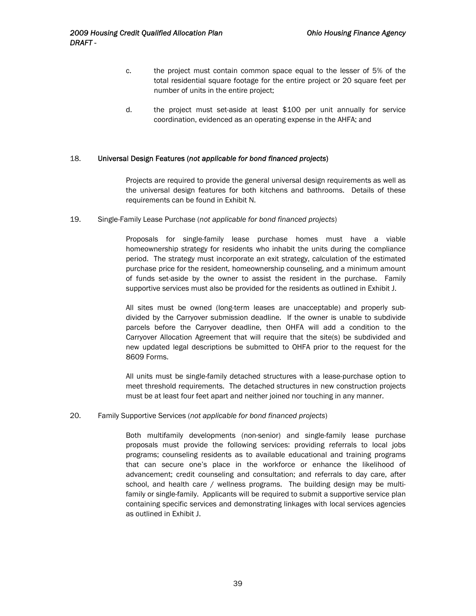- <span id="page-39-0"></span>c. the project must contain common space equal to the lesser of 5% of the total residential square footage for the entire project or 20 square feet per number of units in the entire project;
- d. the project must set-aside at least \$100 per unit annually for service coordination, evidenced as an operating expense in the AHFA; and

#### 18. Universal Design Features (*not applicable for bond financed projects*)

Projects are required to provide the general universal design requirements as well as the universal design features for both kitchens and bathrooms. Details of these requirements can be found in Exhibit N.

19. Single-Family Lease Purchase (*not applicable for bond financed projects*)

Proposals for single-family lease purchase homes must have a viable homeownership strategy for residents who inhabit the units during the compliance period. The strategy must incorporate an exit strategy, calculation of the estimated purchase price for the resident, homeownership counseling, and a minimum amount of funds set-aside by the owner to assist the resident in the purchase. Family supportive services must also be provided for the residents as outlined in Exhibit J.

All sites must be owned (long-term leases are unacceptable) and properly subdivided by the Carryover submission deadline. If the owner is unable to subdivide parcels before the Carryover deadline, then OHFA will add a condition to the Carryover Allocation Agreement that will require that the site(s) be subdivided and new updated legal descriptions be submitted to OHFA prior to the request for the 8609 Forms.

All units must be single-family detached structures with a lease-purchase option to meet threshold requirements. The detached structures in new construction projects must be at least four feet apart and neither joined nor touching in any manner.

#### 20. Family Supportive Services (*not applicable for bond financed projects*)

Both multifamily developments (non-senior) and single-family lease purchase proposals must provide the following services: providing referrals to local jobs programs; counseling residents as to available educational and training programs that can secure one's place in the workforce or enhance the likelihood of advancement; credit counseling and consultation; and referrals to day care, after school, and health care / wellness programs. The building design may be multifamily or single-family. Applicants will be required to submit a supportive service plan containing specific services and demonstrating linkages with local services agencies as outlined in Exhibit J.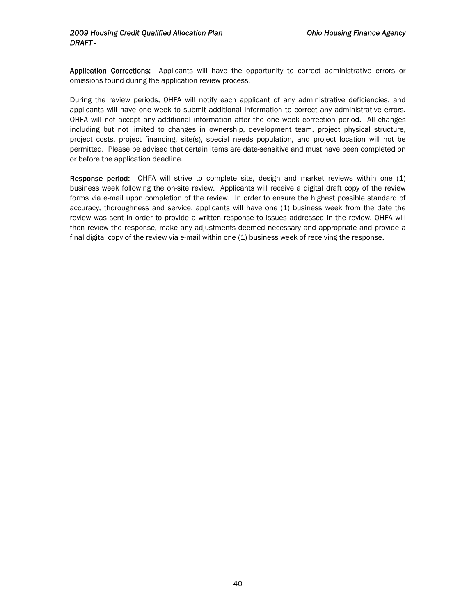Application Corrections: Applicants will have the opportunity to correct administrative errors or omissions found during the application review process.

During the review periods, OHFA will notify each applicant of any administrative deficiencies, and applicants will have one week to submit additional information to correct any administrative errors. OHFA will not accept any additional information after the one week correction period. All changes including but not limited to changes in ownership, development team, project physical structure, project costs, project financing, site(s), special needs population, and project location will not be permitted. Please be advised that certain items are date-sensitive and must have been completed on or before the application deadline.

Response period: OHFA will strive to complete site, design and market reviews within one (1) business week following the on-site review. Applicants will receive a digital draft copy of the review forms via e-mail upon completion of the review. In order to ensure the highest possible standard of accuracy, thoroughness and service, applicants will have one (1) business week from the date the review was sent in order to provide a written response to issues addressed in the review. OHFA will then review the response, make any adjustments deemed necessary and appropriate and provide a final digital copy of the review via e-mail within one (1) business week of receiving the response.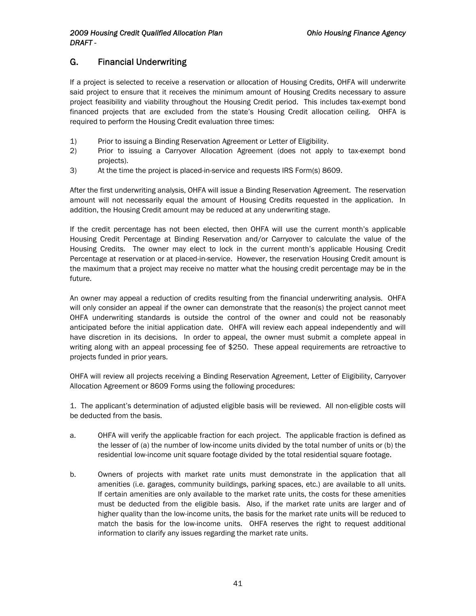# G. Financial Underwriting

If a project is selected to receive a reservation or allocation of Housing Credits, OHFA will underwrite said project to ensure that it receives the minimum amount of Housing Credits necessary to assure project feasibility and viability throughout the Housing Credit period. This includes tax-exempt bond financed projects that are excluded from the state's Housing Credit allocation ceiling. OHFA is required to perform the Housing Credit evaluation three times:

- 1) Prior to issuing a Binding Reservation Agreement or Letter of Eligibility.
- 2) Prior to issuing a Carryover Allocation Agreement (does not apply to tax-exempt bond projects).
- 3) At the time the project is placed-in-service and requests IRS Form(s) 8609.

After the first underwriting analysis, OHFA will issue a Binding Reservation Agreement. The reservation amount will not necessarily equal the amount of Housing Credits requested in the application. In addition, the Housing Credit amount may be reduced at any underwriting stage.

If the credit percentage has not been elected, then OHFA will use the current month's applicable Housing Credit Percentage at Binding Reservation and/or Carryover to calculate the value of the Housing Credits. The owner may elect to lock in the current month's applicable Housing Credit Percentage at reservation or at placed-in-service. However, the reservation Housing Credit amount is the maximum that a project may receive no matter what the housing credit percentage may be in the future.

An owner may appeal a reduction of credits resulting from the financial underwriting analysis. OHFA will only consider an appeal if the owner can demonstrate that the reason(s) the project cannot meet OHFA underwriting standards is outside the control of the owner and could not be reasonably anticipated before the initial application date. OHFA will review each appeal independently and will have discretion in its decisions. In order to appeal, the owner must submit a complete appeal in writing along with an appeal processing fee of \$250. These appeal requirements are retroactive to projects funded in prior years.

OHFA will review all projects receiving a Binding Reservation Agreement, Letter of Eligibility, Carryover Allocation Agreement or 8609 Forms using the following procedures:

1. The applicant's determination of adjusted eligible basis will be reviewed. All non-eligible costs will be deducted from the basis.

- a. OHFA will verify the applicable fraction for each project. The applicable fraction is defined as the lesser of (a) the number of low-income units divided by the total number of units or (b) the residential low-income unit square footage divided by the total residential square footage.
- b. Owners of projects with market rate units must demonstrate in the application that all amenities (i.e. garages, community buildings, parking spaces, etc.) are available to all units. If certain amenities are only available to the market rate units, the costs for these amenities must be deducted from the eligible basis. Also, if the market rate units are larger and of higher quality than the low-income units, the basis for the market rate units will be reduced to match the basis for the low-income units. OHFA reserves the right to request additional information to clarify any issues regarding the market rate units.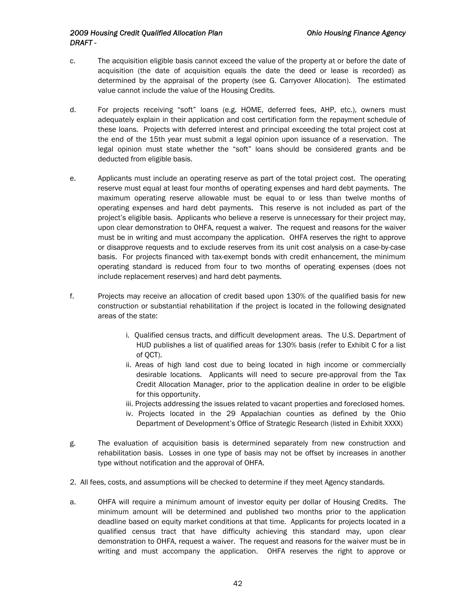#### *2009 Housing Credit Qualified Allocation Plan Ohio Housing Finance Agency DRAFT -*

- c. The acquisition eligible basis cannot exceed the value of the property at or before the date of acquisition (the date of acquisition equals the date the deed or lease is recorded) as determined by the appraisal of the property (see G. Carryover Allocation). The estimated value cannot include the value of the Housing Credits.
- d. For projects receiving "soft" loans (e.g. HOME, deferred fees, AHP, etc.), owners must adequately explain in their application and cost certification form the repayment schedule of these loans. Projects with deferred interest and principal exceeding the total project cost at the end of the 15th year must submit a legal opinion upon issuance of a reservation. The legal opinion must state whether the "soft" loans should be considered grants and be deducted from eligible basis.
- e. Applicants must include an operating reserve as part of the total project cost. The operating reserve must equal at least four months of operating expenses and hard debt payments. The maximum operating reserve allowable must be equal to or less than twelve months of operating expenses and hard debt payments. This reserve is not included as part of the project's eligible basis. Applicants who believe a reserve is unnecessary for their project may, upon clear demonstration to OHFA, request a waiver. The request and reasons for the waiver must be in writing and must accompany the application. OHFA reserves the right to approve or disapprove requests and to exclude reserves from its unit cost analysis on a case-by-case basis. For projects financed with tax-exempt bonds with credit enhancement, the minimum operating standard is reduced from four to two months of operating expenses (does not include replacement reserves) and hard debt payments.
- f. Projects may receive an allocation of credit based upon 130% of the qualified basis for new construction or substantial rehabilitation if the project is located in the following designated areas of the state:
	- i. Qualified census tracts, and difficult development areas. The U.S. Department of HUD publishes a list of qualified areas for 130% basis (refer to Exhibit C for a list of QCT).
	- ii. Areas of high land cost due to being located in high income or commercially desirable locations. Applicants will need to secure pre-approval from the Tax Credit Allocation Manager, prior to the application dealine in order to be eligible for this opportunity.
	- iii. Projects addressing the issues related to vacant properties and foreclosed homes.
	- iv. Projects located in the 29 Appalachian counties as defined by the Ohio Department of Development's Office of Strategic Research (listed in Exhibit XXXX)
- g. The evaluation of acquisition basis is determined separately from new construction and rehabilitation basis. Losses in one type of basis may not be offset by increases in another type without notification and the approval of OHFA.
- 2. All fees, costs, and assumptions will be checked to determine if they meet Agency standards.
- a. OHFA will require a minimum amount of investor equity per dollar of Housing Credits. The minimum amount will be determined and published two months prior to the application deadline based on equity market conditions at that time. Applicants for projects located in a qualified census tract that have difficulty achieving this standard may, upon clear demonstration to OHFA, request a waiver. The request and reasons for the waiver must be in writing and must accompany the application. OHFA reserves the right to approve or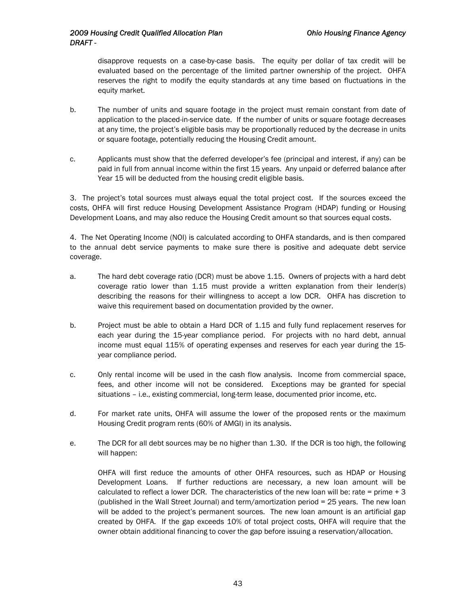disapprove requests on a case-by-case basis. The equity per dollar of tax credit will be evaluated based on the percentage of the limited partner ownership of the project. OHFA reserves the right to modify the equity standards at any time based on fluctuations in the equity market.

- b. The number of units and square footage in the project must remain constant from date of application to the placed-in-service date. If the number of units or square footage decreases at any time, the project's eligible basis may be proportionally reduced by the decrease in units or square footage, potentially reducing the Housing Credit amount.
- c. Applicants must show that the deferred developer's fee (principal and interest, if any) can be paid in full from annual income within the first 15 years. Any unpaid or deferred balance after Year 15 will be deducted from the housing credit eligible basis.

3. The project's total sources must always equal the total project cost. If the sources exceed the costs, OHFA will first reduce Housing Development Assistance Program (HDAP) funding or Housing Development Loans, and may also reduce the Housing Credit amount so that sources equal costs.

4. The Net Operating Income (NOI) is calculated according to OHFA standards, and is then compared to the annual debt service payments to make sure there is positive and adequate debt service coverage.

- a. The hard debt coverage ratio (DCR) must be above 1.15. Owners of projects with a hard debt coverage ratio lower than 1.15 must provide a written explanation from their lender(s) describing the reasons for their willingness to accept a low DCR. OHFA has discretion to waive this requirement based on documentation provided by the owner.
- b. Project must be able to obtain a Hard DCR of 1.15 and fully fund replacement reserves for each year during the 15-year compliance period. For projects with no hard debt, annual income must equal 115% of operating expenses and reserves for each year during the 15 year compliance period.
- c. Only rental income will be used in the cash flow analysis. Income from commercial space, fees, and other income will not be considered. Exceptions may be granted for special situations – i.e., existing commercial, long-term lease, documented prior income, etc.
- d. For market rate units, OHFA will assume the lower of the proposed rents or the maximum Housing Credit program rents (60% of AMGI) in its analysis.
- e. The DCR for all debt sources may be no higher than 1.30. If the DCR is too high, the following will happen:

OHFA will first reduce the amounts of other OHFA resources, such as HDAP or Housing Development Loans. If further reductions are necessary, a new loan amount will be calculated to reflect a lower DCR. The characteristics of the new loan will be: rate = prime  $+3$ (published in the Wall Street Journal) and term/amortization period = 25 years. The new loan will be added to the project's permanent sources. The new loan amount is an artificial gap created by OHFA. If the gap exceeds 10% of total project costs, OHFA will require that the owner obtain additional financing to cover the gap before issuing a reservation/allocation.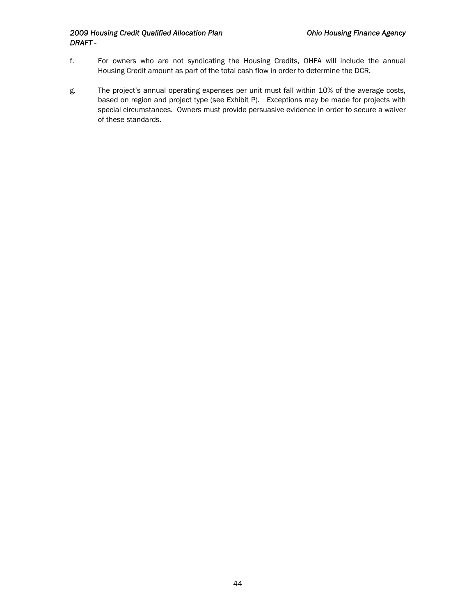#### *2009 Housing Credit Qualified Allocation Plan Ohio Housing Finance Agency DRAFT -*

- f. For owners who are not syndicating the Housing Credits, OHFA will include the annual Housing Credit amount as part of the total cash flow in order to determine the DCR.
- g. The project's annual operating expenses per unit must fall within 10% of the average costs, based on region and project type (see Exhibit P). Exceptions may be made for projects with special circumstances. Owners must provide persuasive evidence in order to secure a waiver of these standards.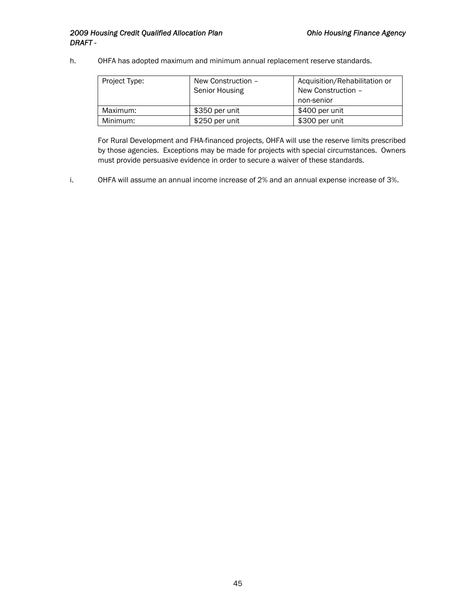#### 2009 Housing Credit Qualified Allocation Plan **Canadian Charlotter Charlotter Charlotter** Ohio Housing Finance Agency *DRAFT -*

h. OHFA has adopted maximum and minimum annual replacement reserve standards.

| Project Type: | New Construction -<br>Senior Housing | Acquisition/Rehabilitation or<br>New Construction -<br>non-senior |
|---------------|--------------------------------------|-------------------------------------------------------------------|
| Maximum:      | \$350 per unit                       | \$400 per unit                                                    |
| Minimum:      | \$250 per unit                       | \$300 per unit                                                    |

For Rural Development and FHA-financed projects, OHFA will use the reserve limits prescribed by those agencies. Exceptions may be made for projects with special circumstances. Owners must provide persuasive evidence in order to secure a waiver of these standards.

i. OHFA will assume an annual income increase of 2% and an annual expense increase of 3%.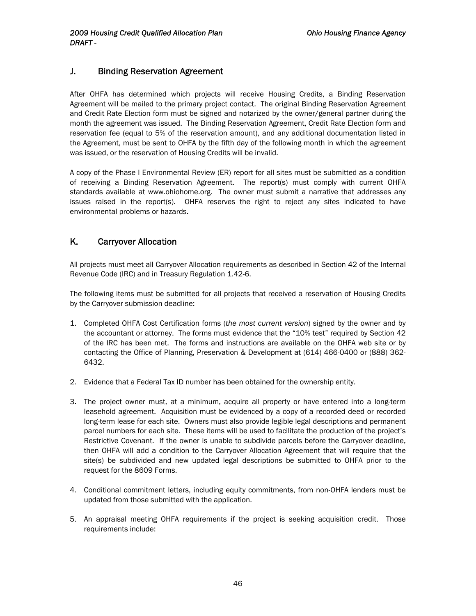# <span id="page-46-0"></span>J. Binding Reservation Agreement

After OHFA has determined which projects will receive Housing Credits, a Binding Reservation Agreement will be mailed to the primary project contact. The original Binding Reservation Agreement and Credit Rate Election form must be signed and notarized by the owner/general partner during the month the agreement was issued. The Binding Reservation Agreement, Credit Rate Election form and reservation fee (equal to 5% of the reservation amount), and any additional documentation listed in the Agreement, must be sent to OHFA by the fifth day of the following month in which the agreement was issued, or the reservation of Housing Credits will be invalid.

A copy of the Phase I Environmental Review (ER) report for all sites must be submitted as a condition of receiving a Binding Reservation Agreement. The report(s) must comply with current OHFA standards available at www.ohiohome.org. The owner must submit a narrative that addresses any issues raised in the report(s). OHFA reserves the right to reject any sites indicated to have environmental problems or hazards.

# K. Carryover Allocation

All projects must meet all Carryover Allocation requirements as described in Section 42 of the Internal Revenue Code (IRC) and in Treasury Regulation 1.42-6.

The following items must be submitted for all projects that received a reservation of Housing Credits by the Carryover submission deadline:

- 1. Completed OHFA Cost Certification forms (*the most current version*) signed by the owner and by the accountant or attorney. The forms must evidence that the "10% test" required by Section 42 of the IRC has been met. The forms and instructions are available on the OHFA web site or by contacting the Office of Planning, Preservation & Development at (614) 466-0400 or (888) 362- 6432.
- 2. Evidence that a Federal Tax ID number has been obtained for the ownership entity.
- 3. The project owner must, at a minimum, acquire all property or have entered into a long-term leasehold agreement. Acquisition must be evidenced by a copy of a recorded deed or recorded long-term lease for each site. Owners must also provide legible legal descriptions and permanent parcel numbers for each site. These items will be used to facilitate the production of the project's Restrictive Covenant. If the owner is unable to subdivide parcels before the Carryover deadline, then OHFA will add a condition to the Carryover Allocation Agreement that will require that the site(s) be subdivided and new updated legal descriptions be submitted to OHFA prior to the request for the 8609 Forms.
- 4. Conditional commitment letters, including equity commitments, from non-OHFA lenders must be updated from those submitted with the application.
- 5. An appraisal meeting OHFA requirements if the project is seeking acquisition credit. Those requirements include: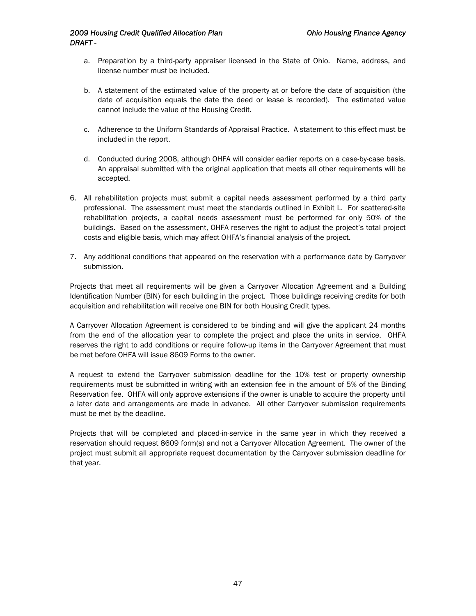#### *2009 Housing Credit Qualified Allocation Plan Ohio Housing Finance Agency DRAFT -*

- a. Preparation by a third-party appraiser licensed in the State of Ohio. Name, address, and license number must be included.
- b. A statement of the estimated value of the property at or before the date of acquisition (the date of acquisition equals the date the deed or lease is recorded). The estimated value cannot include the value of the Housing Credit.
- c. Adherence to the Uniform Standards of Appraisal Practice. A statement to this effect must be included in the report.
- d. Conducted during 2008, although OHFA will consider earlier reports on a case-by-case basis. An appraisal submitted with the original application that meets all other requirements will be accepted.
- 6. All rehabilitation projects must submit a capital needs assessment performed by a third party professional. The assessment must meet the standards outlined in Exhibit L. For scattered-site rehabilitation projects, a capital needs assessment must be performed for only 50% of the buildings. Based on the assessment, OHFA reserves the right to adjust the project's total project costs and eligible basis, which may affect OHFA's financial analysis of the project.
- 7. Any additional conditions that appeared on the reservation with a performance date by Carryover submission.

Projects that meet all requirements will be given a Carryover Allocation Agreement and a Building Identification Number (BIN) for each building in the project. Those buildings receiving credits for both acquisition and rehabilitation will receive one BIN for both Housing Credit types.

A Carryover Allocation Agreement is considered to be binding and will give the applicant 24 months from the end of the allocation year to complete the project and place the units in service. OHFA reserves the right to add conditions or require follow-up items in the Carryover Agreement that must be met before OHFA will issue 8609 Forms to the owner.

A request to extend the Carryover submission deadline for the 10% test or property ownership requirements must be submitted in writing with an extension fee in the amount of 5% of the Binding Reservation fee. OHFA will only approve extensions if the owner is unable to acquire the property until a later date and arrangements are made in advance. All other Carryover submission requirements must be met by the deadline.

Projects that will be completed and placed-in-service in the same year in which they received a reservation should request 8609 form(s) and not a Carryover Allocation Agreement. The owner of the project must submit all appropriate request documentation by the Carryover submission deadline for that year.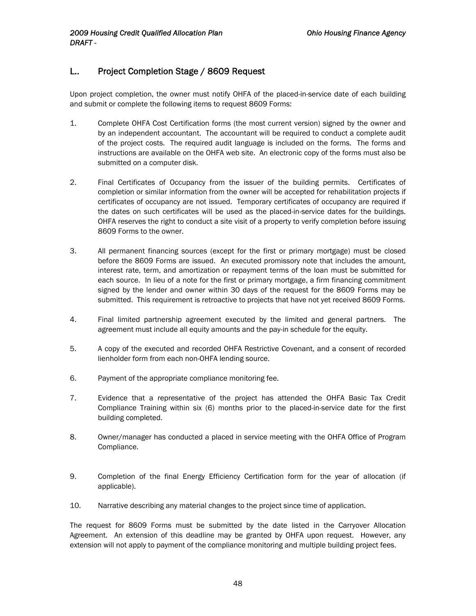# <span id="page-48-0"></span>L.. Project Completion Stage / 8609 Request

Upon project completion, the owner must notify OHFA of the placed-in-service date of each building and submit or complete the following items to request 8609 Forms:

- 1. Complete OHFA Cost Certification forms (the most current version) signed by the owner and by an independent accountant. The accountant will be required to conduct a complete audit of the project costs. The required audit language is included on the forms. The forms and instructions are available on the OHFA web site. An electronic copy of the forms must also be submitted on a computer disk.
- 2. Final Certificates of Occupancy from the issuer of the building permits. Certificates of completion or similar information from the owner will be accepted for rehabilitation projects if certificates of occupancy are not issued. Temporary certificates of occupancy are required if the dates on such certificates will be used as the placed-in-service dates for the buildings. OHFA reserves the right to conduct a site visit of a property to verify completion before issuing 8609 Forms to the owner.
- 3. All permanent financing sources (except for the first or primary mortgage) must be closed before the 8609 Forms are issued. An executed promissory note that includes the amount, interest rate, term, and amortization or repayment terms of the loan must be submitted for each source. In lieu of a note for the first or primary mortgage, a firm financing commitment signed by the lender and owner within 30 days of the request for the 8609 Forms may be submitted. This requirement is retroactive to projects that have not yet received 8609 Forms.
- 4. Final limited partnership agreement executed by the limited and general partners. The agreement must include all equity amounts and the pay-in schedule for the equity.
- 5. A copy of the executed and recorded OHFA Restrictive Covenant, and a consent of recorded lienholder form from each non-OHFA lending source.
- 6. Payment of the appropriate compliance monitoring fee.
- 7. Evidence that a representative of the project has attended the OHFA Basic Tax Credit Compliance Training within six (6) months prior to the placed-in-service date for the first building completed.
- 8. Owner/manager has conducted a placed in service meeting with the OHFA Office of Program Compliance.
- 9. Completion of the final Energy Efficiency Certification form for the year of allocation (if applicable).
- 10. Narrative describing any material changes to the project since time of application.

The request for 8609 Forms must be submitted by the date listed in the Carryover Allocation Agreement. An extension of this deadline may be granted by OHFA upon request. However, any extension will not apply to payment of the compliance monitoring and multiple building project fees.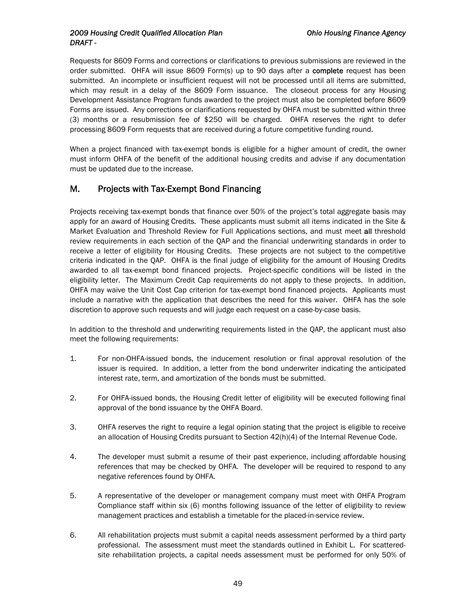#### <span id="page-49-0"></span>*2009 Housing Credit Qualified Allocation Plan Ohio Housing Finance Agency DRAFT -*

Requests for 8609 Forms and corrections or clarifications to previous submissions are reviewed in the order submitted. OHFA will issue 8609 Form(s) up to 90 days after a complete request has been submitted. An incomplete or insufficient request will not be processed until all items are submitted, which may result in a delay of the 8609 Form issuance. The closeout process for any Housing Development Assistance Program funds awarded to the project must also be completed before 8609 Forms are issued. Any corrections or clarifications requested by OHFA must be submitted within three (3) months or a resubmission fee of \$250 will be charged. OHFA reserves the right to defer processing 8609 Form requests that are received during a future competitive funding round.

When a project financed with tax-exempt bonds is eligible for a higher amount of credit, the owner must inform OHFA of the benefit of the additional housing credits and advise if any documentation must be updated due to the increase.

# M. Projects with Tax-Exempt Bond Financing

Projects receiving tax-exempt bonds that finance over 50% of the project's total aggregate basis may apply for an award of Housing Credits. These applicants must submit all items indicated in the Site & Market Evaluation and Threshold Review for Full Applications sections, and must meet all threshold review requirements in each section of the QAP and the financial underwriting standards in order to receive a letter of eligibility for Housing Credits. These projects are not subject to the competitive criteria indicated in the QAP. OHFA is the final judge of eligibility for the amount of Housing Credits awarded to all tax-exempt bond financed projects. Project-specific conditions will be listed in the eligibility letter. The Maximum Credit Cap requirements do not apply to these projects. In addition, OHFA may waive the Unit Cost Cap criterion for tax-exempt bond financed projects. Applicants must include a narrative with the application that describes the need for this waiver. OHFA has the sole discretion to approve such requests and will judge each request on a case-by-case basis.

In addition to the threshold and underwriting requirements listed in the QAP, the applicant must also meet the following requirements:

- 1. For non-OHFA-issued bonds, the inducement resolution or final approval resolution of the issuer is required. In addition, a letter from the bond underwriter indicating the anticipated interest rate, term, and amortization of the bonds must be submitted.
- 2. For OHFA-issued bonds, the Housing Credit letter of eligibility will be executed following final approval of the bond issuance by the OHFA Board.
- 3. OHFA reserves the right to require a legal opinion stating that the project is eligible to receive an allocation of Housing Credits pursuant to Section 42(h)(4) of the Internal Revenue Code.
- 4. The developer must submit a resume of their past experience, including affordable housing references that may be checked by OHFA. The developer will be required to respond to any negative references found by OHFA.
- 5. A representative of the developer or management company must meet with OHFA Program Compliance staff within six (6) months following issuance of the letter of eligibility to review management practices and establish a timetable for the placed-in-service review.
- 6. All rehabilitation projects must submit a capital needs assessment performed by a third party professional. The assessment must meet the standards outlined in Exhibit L. For scatteredsite rehabilitation projects, a capital needs assessment must be performed for only 50% of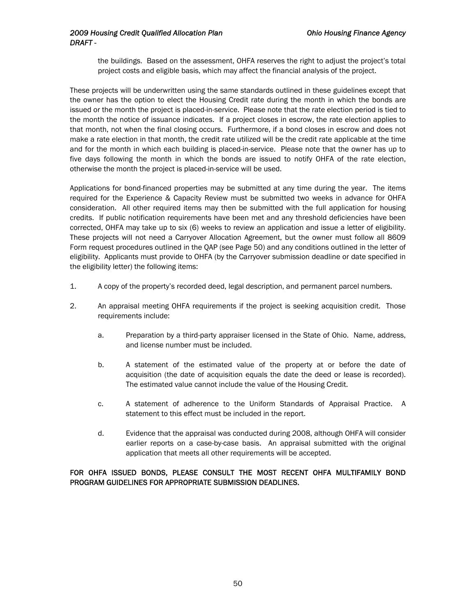the buildings. Based on the assessment, OHFA reserves the right to adjust the project's total project costs and eligible basis, which may affect the financial analysis of the project.

These projects will be underwritten using the same standards outlined in these guidelines except that the owner has the option to elect the Housing Credit rate during the month in which the bonds are issued or the month the project is placed-in-service. Please note that the rate election period is tied to the month the notice of issuance indicates. If a project closes in escrow, the rate election applies to that month, not when the final closing occurs. Furthermore, if a bond closes in escrow and does not make a rate election in that month, the credit rate utilized will be the credit rate applicable at the time and for the month in which each building is placed-in-service. Please note that the owner has up to five days following the month in which the bonds are issued to notify OHFA of the rate election, otherwise the month the project is placed-in-service will be used.

Applications for bond-financed properties may be submitted at any time during the year. The items required for the Experience & Capacity Review must be submitted two weeks in advance for OHFA consideration. All other required items may then be submitted with the full application for housing credits. If public notification requirements have been met and any threshold deficiencies have been corrected, OHFA may take up to six (6) weeks to review an application and issue a letter of eligibility. These projects will not need a Carryover Allocation Agreement, but the owner must follow all 8609 Form request procedures outlined in the QAP (see Page 50) and any conditions outlined in the letter of eligibility. Applicants must provide to OHFA (by the Carryover submission deadline or date specified in the eligibility letter) the following items:

- 1. A copy of the property's recorded deed, legal description, and permanent parcel numbers.
- 2. An appraisal meeting OHFA requirements if the project is seeking acquisition credit. Those requirements include:
	- a. Preparation by a third-party appraiser licensed in the State of Ohio. Name, address, and license number must be included.
	- b. A statement of the estimated value of the property at or before the date of acquisition (the date of acquisition equals the date the deed or lease is recorded). The estimated value cannot include the value of the Housing Credit.
	- c. A statement of adherence to the Uniform Standards of Appraisal Practice. A statement to this effect must be included in the report.
	- d. Evidence that the appraisal was conducted during 2008, although OHFA will consider earlier reports on a case-by-case basis. An appraisal submitted with the original application that meets all other requirements will be accepted.

FOR OHFA ISSUED BONDS, PLEASE CONSULT THE MOST RECENT OHFA MULTIFAMILY BOND PROGRAM GUIDELINES FOR APPROPRIATE SUBMISSION DEADLINES.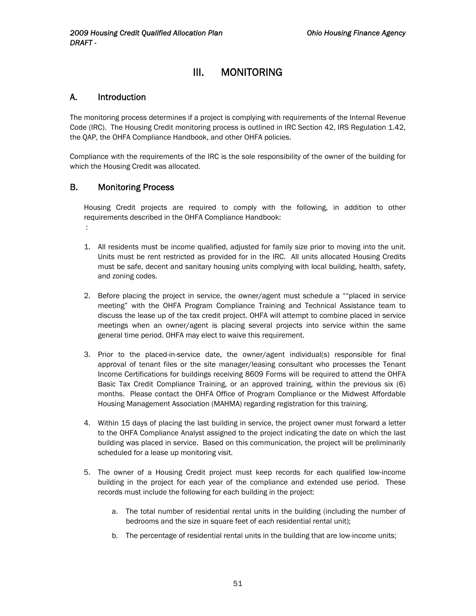# III. MONITORING

#### <span id="page-51-0"></span>A. Introduction

The monitoring process determines if a project is complying with requirements of the Internal Revenue Code (IRC). The Housing Credit monitoring process is outlined in IRC Section 42, IRS Regulation 1.42, the QAP, the OHFA Compliance Handbook, and other OHFA policies.

Compliance with the requirements of the IRC is the sole responsibility of the owner of the building for which the Housing Credit was allocated.

#### B. Monitoring Process

:

Housing Credit projects are required to comply with the following, in addition to other requirements described in the OHFA Compliance Handbook:

- 1. All residents must be income qualified, adjusted for family size prior to moving into the unit. Units must be rent restricted as provided for in the IRC. All units allocated Housing Credits must be safe, decent and sanitary housing units complying with local building, health, safety, and zoning codes.
- 2. Before placing the project in service, the owner/agent must schedule a ""placed in service meeting" with the OHFA Program Compliance Training and Technical Assistance team to discuss the lease up of the tax credit project. OHFA will attempt to combine placed in service meetings when an owner/agent is placing several projects into service within the same general time period. OHFA may elect to waive this requirement.
- 3. Prior to the placed-in-service date, the owner/agent individual(s) responsible for final approval of tenant files or the site manager/leasing consultant who processes the Tenant Income Certifications for buildings receiving 8609 Forms will be required to attend the OHFA Basic Tax Credit Compliance Training, or an approved training, within the previous six (6) months. Please contact the OHFA Office of Program Compliance or the Midwest Affordable Housing Management Association (MAHMA) regarding registration for this training.
- 4. Within 15 days of placing the last building in service, the project owner must forward a letter to the OHFA Compliance Analyst assigned to the project indicating the date on which the last building was placed in service. Based on this communication, the project will be preliminarily scheduled for a lease up monitoring visit.
- 5. The owner of a Housing Credit project must keep records for each qualified low-income building in the project for each year of the compliance and extended use period. These records must include the following for each building in the project:
	- a. The total number of residential rental units in the building (including the number of bedrooms and the size in square feet of each residential rental unit);
	- b. The percentage of residential rental units in the building that are low-income units;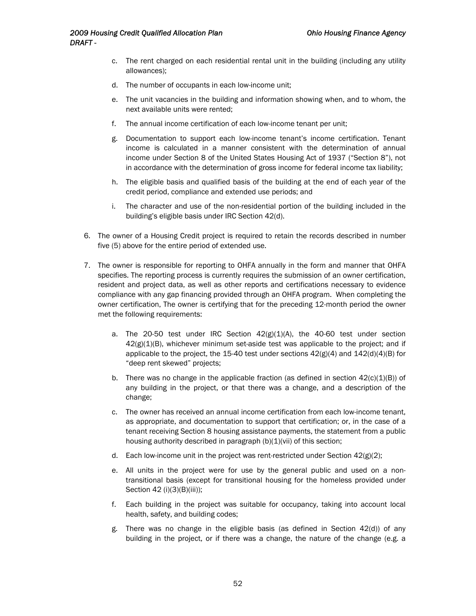- c. The rent charged on each residential rental unit in the building (including any utility allowances);
- d. The number of occupants in each low-income unit;
- e. The unit vacancies in the building and information showing when, and to whom, the next available units were rented;
- f. The annual income certification of each low-income tenant per unit;
- g. Documentation to support each low-income tenant's income certification. Tenant income is calculated in a manner consistent with the determination of annual income under Section 8 of the United States Housing Act of 1937 ("Section 8"), not in accordance with the determination of gross income for federal income tax liability;
- h. The eligible basis and qualified basis of the building at the end of each year of the credit period, compliance and extended use periods; and
- i. The character and use of the non-residential portion of the building included in the building's eligible basis under IRC Section 42(d).
- 6. The owner of a Housing Credit project is required to retain the records described in number five (5) above for the entire period of extended use.
- 7. The owner is responsible for reporting to OHFA annually in the form and manner that OHFA specifies. The reporting process is currently requires the submission of an owner certification, resident and project data, as well as other reports and certifications necessary to evidence compliance with any gap financing provided through an OHFA program. When completing the owner certification, The owner is certifying that for the preceding 12-month period the owner met the following requirements:
	- a. The 20-50 test under IRC Section  $42(g)(1)(A)$ , the 40-60 test under section  $42(g)(1)(B)$ , whichever minimum set-aside test was applicable to the project; and if applicable to the project, the 15-40 test under sections  $42(g)(4)$  and  $142(d)(4)(B)$  for "deep rent skewed" projects;
	- b. There was no change in the applicable fraction (as defined in section  $42(c)(1)(B)$ ) of any building in the project, or that there was a change, and a description of the change;
	- c. The owner has received an annual income certification from each low-income tenant, as appropriate, and documentation to support that certification; or, in the case of a tenant receiving Section 8 housing assistance payments, the statement from a public housing authority described in paragraph (b)(1)(vii) of this section;
	- d. Each low-income unit in the project was rent-restricted under Section  $42(g)(2)$ ;
	- e. All units in the project were for use by the general public and used on a nontransitional basis (except for transitional housing for the homeless provided under Section 42 (i)(3)(B)(iii));
	- f. Each building in the project was suitable for occupancy, taking into account local health, safety, and building codes;
	- g. There was no change in the eligible basis (as defined in Section 42(d)) of any building in the project, or if there was a change, the nature of the change (e.g. a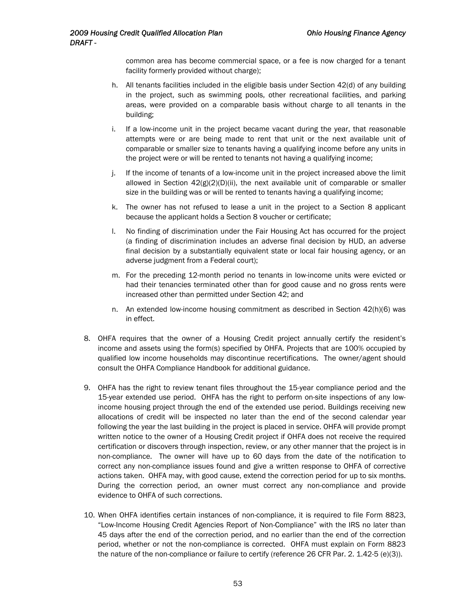common area has become commercial space, or a fee is now charged for a tenant facility formerly provided without charge);

- h. All tenants facilities included in the eligible basis under Section 42(d) of any building in the project, such as swimming pools, other recreational facilities, and parking areas, were provided on a comparable basis without charge to all tenants in the building;
- i. If a low-income unit in the project became vacant during the year, that reasonable attempts were or are being made to rent that unit or the next available unit of comparable or smaller size to tenants having a qualifying income before any units in the project were or will be rented to tenants not having a qualifying income;
- j. If the income of tenants of a low-income unit in the project increased above the limit allowed in Section  $42(g)(2)(D)(ii)$ , the next available unit of comparable or smaller size in the building was or will be rented to tenants having a qualifying income;
- k. The owner has not refused to lease a unit in the project to a Section 8 applicant because the applicant holds a Section 8 voucher or certificate;
- l. No finding of discrimination under the Fair Housing Act has occurred for the project (a finding of discrimination includes an adverse final decision by HUD, an adverse final decision by a substantially equivalent state or local fair housing agency, or an adverse judgment from a Federal court);
- m. For the preceding 12-month period no tenants in low-income units were evicted or had their tenancies terminated other than for good cause and no gross rents were increased other than permitted under Section 42; and
- n. An extended low-income housing commitment as described in Section 42(h)(6) was in effect.
- 8. OHFA requires that the owner of a Housing Credit project annually certify the resident's income and assets using the form(s) specified by OHFA. Projects that are 100% occupied by qualified low income households may discontinue recertifications. The owner/agent should consult the OHFA Compliance Handbook for additional guidance.
- 9. OHFA has the right to review tenant files throughout the 15-year compliance period and the 15-year extended use period. OHFA has the right to perform on-site inspections of any lowincome housing project through the end of the extended use period. Buildings receiving new allocations of credit will be inspected no later than the end of the second calendar year following the year the last building in the project is placed in service. OHFA will provide prompt written notice to the owner of a Housing Credit project if OHFA does not receive the required certification or discovers through inspection, review, or any other manner that the project is in non-compliance. The owner will have up to 60 days from the date of the notification to correct any non-compliance issues found and give a written response to OHFA of corrective actions taken. OHFA may, with good cause, extend the correction period for up to six months. During the correction period, an owner must correct any non-compliance and provide evidence to OHFA of such corrections.
- 10. When OHFA identifies certain instances of non-compliance, it is required to file Form 8823, "Low-Income Housing Credit Agencies Report of Non-Compliance" with the IRS no later than 45 days after the end of the correction period, and no earlier than the end of the correction period, whether or not the non-compliance is corrected. OHFA must explain on Form 8823 the nature of the non-compliance or failure to certify (reference 26 CFR Par. 2. 1.42-5 (e)(3)).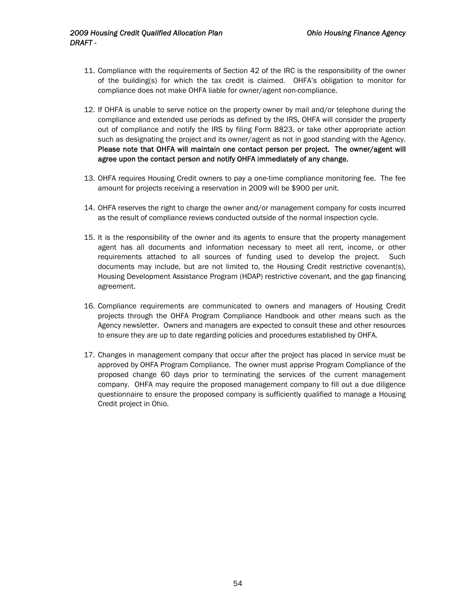- 11. Compliance with the requirements of Section 42 of the IRC is the responsibility of the owner of the building(s) for which the tax credit is claimed. OHFA's obligation to monitor for compliance does not make OHFA liable for owner/agent non-compliance.
- 12. If OHFA is unable to serve notice on the property owner by mail and/or telephone during the compliance and extended use periods as defined by the IRS, OHFA will consider the property out of compliance and notify the IRS by filing Form 8823, or take other appropriate action such as designating the project and its owner/agent as not in good standing with the Agency. Please note that OHFA will maintain one contact person per project. The owner/agent will agree upon the contact person and notify OHFA immediately of any change.
- 13. OHFA requires Housing Credit owners to pay a one-time compliance monitoring fee. The fee amount for projects receiving a reservation in 2009 will be \$900 per unit.
- 14. OHFA reserves the right to charge the owner and/or management company for costs incurred as the result of compliance reviews conducted outside of the normal inspection cycle.
- 15. It is the responsibility of the owner and its agents to ensure that the property management agent has all documents and information necessary to meet all rent, income, or other requirements attached to all sources of funding used to develop the project. Such documents may include, but are not limited to, the Housing Credit restrictive covenant(s), Housing Development Assistance Program (HDAP) restrictive covenant, and the gap financing agreement.
- 16. Compliance requirements are communicated to owners and managers of Housing Credit projects through the OHFA Program Compliance Handbook and other means such as the Agency newsletter. Owners and managers are expected to consult these and other resources to ensure they are up to date regarding policies and procedures established by OHFA.
- 17. Changes in management company that occur after the project has placed in service must be approved by OHFA Program Compliance. The owner must apprise Program Compliance of the proposed change 60 days prior to terminating the services of the current management company. OHFA may require the proposed management company to fill out a due diligence questionnaire to ensure the proposed company is sufficiently qualified to manage a Housing Credit project in Ohio.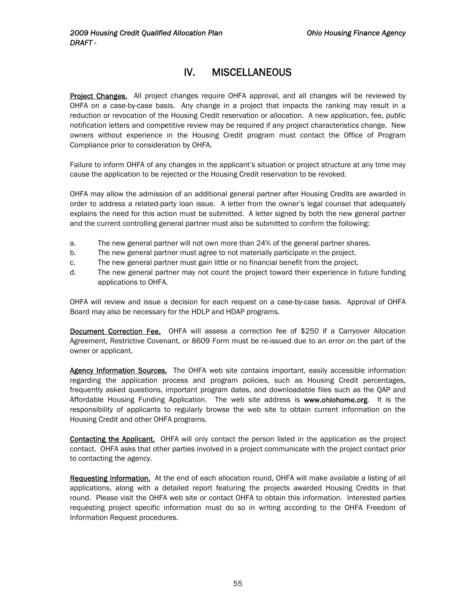# IV. MISCELLANEOUS

<span id="page-55-0"></span>Project Changes. All project changes require OHFA approval, and all changes will be reviewed by OHFA on a case-by-case basis. Any change in a project that impacts the ranking may result in a reduction or revocation of the Housing Credit reservation or allocation. A new application, fee, public notification letters and competitive review may be required if any project characteristics change. New owners without experience in the Housing Credit program must contact the Office of Program Compliance prior to consideration by OHFA.

Failure to inform OHFA of any changes in the applicant's situation or project structure at any time may cause the application to be rejected or the Housing Credit reservation to be revoked.

OHFA may allow the admission of an additional general partner after Housing Credits are awarded in order to address a related-party loan issue. A letter from the owner's legal counsel that adequately explains the need for this action must be submitted. A letter signed by both the new general partner and the current controlling general partner must also be submitted to confirm the following:

- a. The new general partner will not own more than 24% of the general partner shares.
- b. The new general partner must agree to not materially participate in the project.
- c. The new general partner must gain little or no financial benefit from the project.
- d. The new general partner may not count the project toward their experience in future funding applications to OHFA.

OHFA will review and issue a decision for each request on a case-by-case basis. Approval of OHFA Board may also be necessary for the HDLP and HDAP programs.

Document Correction Fee. OHFA will assess a correction fee of \$250 if a Carryover Allocation Agreement, Restrictive Covenant, or 8609 Form must be re-issued due to an error on the part of the owner or applicant.

Agency Information Sources. The OHFA web site contains important, easily accessible information regarding the application process and program policies, such as Housing Credit percentages, frequently asked questions, important program dates, and downloadable files such as the QAP and Affordable Housing Funding Application. The web site address is www.ohiohome.org. It is the responsibility of applicants to regularly browse the web site to obtain current information on the Housing Credit and other OHFA programs.

Contacting the Applicant. OHFA will only contact the person listed in the application as the project contact. OHFA asks that other parties involved in a project communicate with the project contact prior to contacting the agency.

Requesting Information. At the end of each allocation round, OHFA will make available a listing of all applications, along with a detailed report featuring the projects awarded Housing Credits in that round. Please visit the OHFA web site or contact OHFA to obtain this information. Interested parties requesting project specific information must do so in writing according to the OHFA Freedom of Information Request procedures.